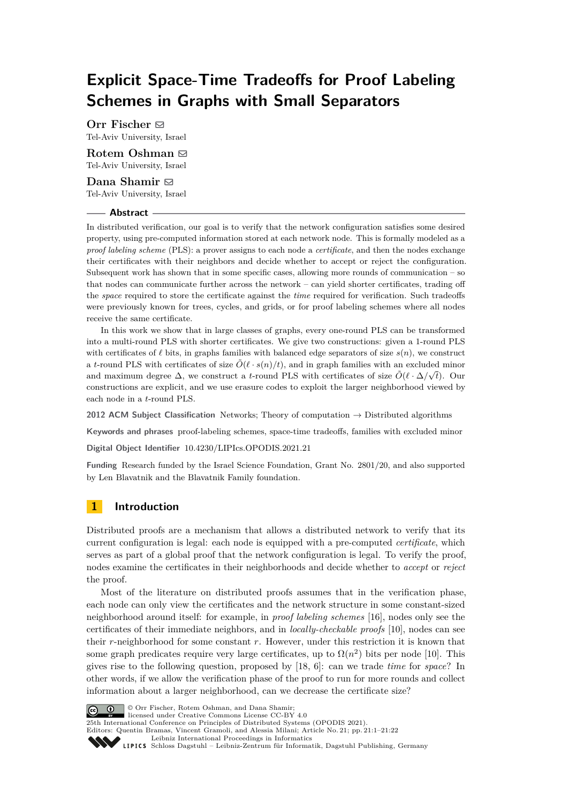# **Explicit Space-Time Tradeoffs for Proof Labeling Schemes in Graphs with Small Separators**

**Orr Fischer** ⊠ Tel-Aviv University, Israel

**Rotem Oshman** ⊠ Tel-Aviv University, Israel

**Dana Shamir** ⊠ Tel-Aviv University, Israel

#### **Abstract**

In distributed verification, our goal is to verify that the network configuration satisfies some desired property, using pre-computed information stored at each network node. This is formally modeled as a *proof labeling scheme* (PLS): a prover assigns to each node a *certificate*, and then the nodes exchange their certificates with their neighbors and decide whether to accept or reject the configuration. Subsequent work has shown that in some specific cases, allowing more rounds of communication  $-$  so that nodes can communicate further across the network – can yield shorter certificates, trading off the *space* required to store the certificate against the *time* required for verification. Such tradeoffs were previously known for trees, cycles, and grids, or for proof labeling schemes where all nodes receive the same certificate.

In this work we show that in large classes of graphs, every one-round PLS can be transformed into a multi-round PLS with shorter certificates. We give two constructions: given a 1-round PLS with certificates of *ℓ* bits, in graphs families with balanced edge separators of size *s*(*n*), we construct a *t*-round PLS with certificates of size  $\tilde{O}(\ell \cdot s(n)/t)$ , and in graph families with an excluded minor and maximum degree  $\Delta$ , we construct a *t*-round PLS with certificates of size  $\tilde{O}(\ell \cdot \Delta/\sqrt{t})$ . Our constructions are explicit, and we use erasure codes to exploit the larger neighborhood viewed by each node in a *t*-round PLS.

**2012 ACM Subject Classification** Networks; Theory of computation → Distributed algorithms

**Keywords and phrases** proof-labeling schemes, space-time tradeoffs, families with excluded minor

**Digital Object Identifier** [10.4230/LIPIcs.OPODIS.2021.21](https://doi.org/10.4230/LIPIcs.OPODIS.2021.21)

**Funding** Research funded by the Israel Science Foundation, Grant No. 2801/20, and also supported by Len Blavatnik and the Blavatnik Family foundation.

# <span id="page-0-0"></span>**1 Introduction**

Distributed proofs are a mechanism that allows a distributed network to verify that its current configuration is legal: each node is equipped with a pre-computed *certificate*, which serves as part of a global proof that the network configuration is legal. To verify the proof, nodes examine the certificates in their neighborhoods and decide whether to *accept* or *reject* the proof.

Most of the literature on distributed proofs assumes that in the verification phase, each node can only view the certificates and the network structure in some constant-sized neighborhood around itself: for example, in *proof labeling schemes* [\[16\]](#page-16-0), nodes only see the certificates of their immediate neighbors, and in *locally-checkable proofs* [\[10\]](#page-16-1), nodes can see their *r*-neighborhood for some constant *r*. However, under this restriction it is known that some graph predicates require very large certificates, up to  $\Omega(n^2)$  bits per node [\[10\]](#page-16-1). This gives rise to the following question, proposed by [\[18,](#page-16-2) [6\]](#page-15-0): can we trade *time* for *space*? In other words, if we allow the verification phase of the proof to run for more rounds and collect information about a larger neighborhood, can we decrease the certificate size?



© Orr Fischer, Rotem Oshman, and Dana Shamir;

licensed under Creative Commons License CC-BY 4.0 25th International Conference on Principles of Distributed Systems (OPODIS 2021).

Editors: Quentin Bramas, Vincent Gramoli, and Alessia Milani; Article No. 21; pp. 21:1–21:22

[Leibniz International Proceedings in Informatics](https://www.dagstuhl.de/lipics/)

Leibniz international Floretungs in missimosische Publishing, Germany<br>LIPICS [Schloss Dagstuhl – Leibniz-Zentrum für Informatik, Dagstuhl Publishing, Germany](https://www.dagstuhl.de)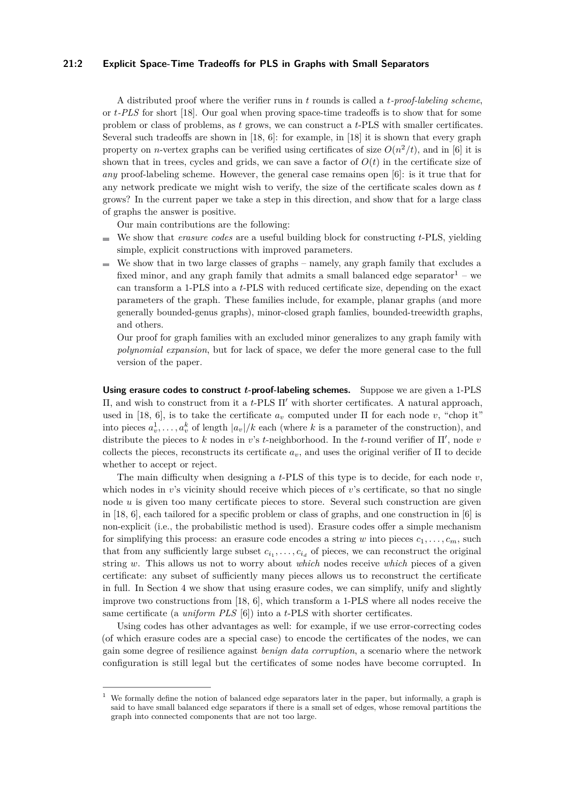### **21:2 Explicit Space-Time Tradeoffs for PLS in Graphs with Small Separators**

A distributed proof where the verifier runs in *t* rounds is called a *t-proof-labeling scheme*, or *t-PLS* for short [\[18\]](#page-16-2). Our goal when proving space-time tradeoffs is to show that for some problem or class of problems, as *t* grows, we can construct a *t*-PLS with smaller certificates. Several such tradeoffs are shown in [\[18,](#page-16-2) [6\]](#page-15-0): for example, in [\[18\]](#page-16-2) it is shown that every graph property on *n*-vertex graphs can be verified using certificates of size  $O(n^2/t)$ , and in [\[6\]](#page-15-0) it is shown that in trees, cycles and grids, we can save a factor of  $O(t)$  in the certificate size of *any* proof-labeling scheme. However, the general case remains open [\[6\]](#page-15-0): is it true that for any network predicate we might wish to verify, the size of the certificate scales down as *t* grows? In the current paper we take a step in this direction, and show that for a large class of graphs the answer is positive.

Our main contributions are the following:

- We show that *erasure codes* are a useful building block for constructing *t*-PLS, yielding simple, explicit constructions with improved parameters.
- $\blacksquare$  We show that in two large classes of graphs namely, any graph family that excludes a fixed minor, and any graph family that admits a small balanced edge separator<sup>[1](#page-1-0)</sup> – we can transform a 1-PLS into a *t*-PLS with reduced certificate size, depending on the exact parameters of the graph. These families include, for example, planar graphs (and more generally bounded-genus graphs), minor-closed graph famlies, bounded-treewidth graphs, and others.

Our proof for graph families with an excluded minor generalizes to any graph family with *polynomial expansion*, but for lack of space, we defer the more general case to the full version of the paper.

**Using erasure codes to construct** *t***-proof-labeling schemes.** Suppose we are given a 1-PLS Π, and wish to construct from it a *t*-PLS Π′ with shorter certificates. A natural approach, used in [\[18,](#page-16-2) [6\]](#page-15-0), is to take the certificate  $a<sub>v</sub>$  computed under  $\Pi$  for each node  $v$ , "chop it" into pieces  $a_v^1, \ldots, a_v^k$  of length  $|a_v|/k$  each (where  $k$  is a parameter of the construction), and distribute the pieces to *k* nodes in *v*'s *t*-neighborhood. In the *t*-round verifier of Π′ , node *v* collects the pieces, reconstructs its certificate  $a_v$ , and uses the original verifier of  $\Pi$  to decide whether to accept or reject.

The main difficulty when designing a *t*-PLS of this type is to decide, for each node *v*, which nodes in *v*'s vicinity should receive which pieces of *v*'s certificate, so that no single node *u* is given too many certificate pieces to store. Several such construction are given in [\[18,](#page-16-2) [6\]](#page-15-0), each tailored for a specific problem or class of graphs, and one construction in [\[6\]](#page-15-0) is non-explicit (i.e., the probabilistic method is used). Erasure codes offer a simple mechanism for simplifying this process: an erasure code encodes a string *w* into pieces  $c_1, \ldots, c_m$ , such that from any sufficiently large subset  $c_{i_1}, \ldots, c_{i_d}$  of pieces, we can reconstruct the original string *w*. This allows us not to worry about *which* nodes receive *which* pieces of a given certificate: any subset of sufficiently many pieces allows us to reconstruct the certificate in full. In Section [4](#page-6-0) we show that using erasure codes, we can simplify, unify and slightly improve two constructions from [\[18,](#page-16-2) [6\]](#page-15-0), which transform a 1-PLS where all nodes receive the same certificate (a *uniform PLS* [\[6\]](#page-15-0)) into a *t*-PLS with shorter certificates.

Using codes has other advantages as well: for example, if we use error-correcting codes (of which erasure codes are a special case) to encode the certificates of the nodes, we can gain some degree of resilience against *benign data corruption*, a scenario where the network configuration is still legal but the certificates of some nodes have become corrupted. In

<span id="page-1-0"></span><sup>&</sup>lt;sup>1</sup> We formally define the notion of balanced edge separators later in the paper, but informally, a graph is said to have small balanced edge separators if there is a small set of edges, whose removal partitions the graph into connected components that are not too large.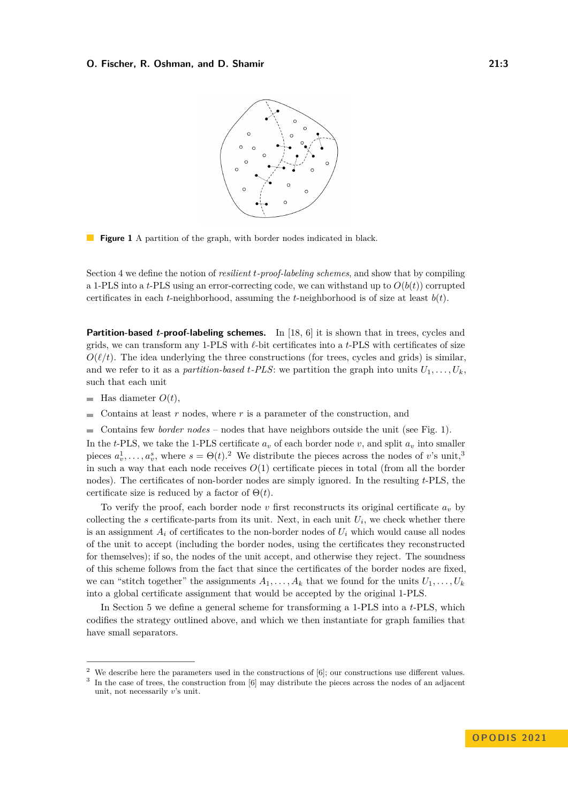<span id="page-2-0"></span>

**Figure 1** A partition of the graph, with border nodes indicated in black.

Section [4](#page-6-0) we define the notion of *resilient t-proof-labeling schemes*, and show that by compiling a 1-PLS into a *t*-PLS using an error-correcting code, we can withstand up to  $O(b(t))$  corrupted certificates in each *t*-neighborhood, assuming the *t*-neighborhood is of size at least *b*(*t*).

**Partition-based** *t***-proof-labeling schemes.** In [\[18,](#page-16-2) [6\]](#page-15-0) it is shown that in trees, cycles and grids, we can transform any 1-PLS with *ℓ*-bit certificates into a *t*-PLS with certificates of size  $O(\ell/t)$ . The idea underlying the three constructions (for trees, cycles and grids) is similar, and we refer to it as a *partition-based t-PLS*: we partition the graph into units  $U_1, \ldots, U_k$ , such that each unit

- $\blacksquare$ Has diameter *O*(*t*),
- Contains at least *r* nodes, where *r* is a parameter of the construction, and ÷
- Contains few *border nodes* nodes that have neighbors outside the unit (see Fig. [1\)](#page-2-0).

In the *t*-PLS, we take the 1-PLS certificate  $a<sub>v</sub>$  of each border node *v*, and split  $a<sub>v</sub>$  into smaller pieces  $a_v^1, \ldots, a_v^s$ , where  $s = \Theta(t)$ .<sup>[2](#page-2-1)</sup> We distribute the pieces across the nodes of *v*'s unit,<sup>[3](#page-2-2)</sup> in such a way that each node receives  $O(1)$  certificate pieces in total (from all the border nodes). The certificates of non-border nodes are simply ignored. In the resulting *t*-PLS, the certificate size is reduced by a factor of  $\Theta(t)$ .

To verify the proof, each border node  $v$  first reconstructs its original certificate  $a_v$  by collecting the *s* certificate-parts from its unit. Next, in each unit  $U_i$ , we check whether there is an assignment  $A_i$  of certificates to the non-border nodes of  $U_i$  which would cause all nodes of the unit to accept (including the border nodes, using the certificates they reconstructed for themselves); if so, the nodes of the unit accept, and otherwise they reject. The soundness of this scheme follows from the fact that since the certificates of the border nodes are fixed, we can "stitch together" the assignments  $A_1, \ldots, A_k$  that we found for the units  $U_1, \ldots, U_k$ into a global certificate assignment that would be accepted by the original 1-PLS.

In Section [5](#page-8-0) we define a general scheme for transforming a 1-PLS into a *t*-PLS, which codifies the strategy outlined above, and which we then instantiate for graph families that have small separators.

<span id="page-2-1"></span><sup>&</sup>lt;sup>2</sup> We describe here the parameters used in the constructions of  $[6]$ ; our constructions use different values.

<span id="page-2-2"></span><sup>&</sup>lt;sup>3</sup> In the case of trees, the construction from [\[6\]](#page-15-0) may distribute the pieces across the nodes of an adjacent unit, not necessarily *v*'s unit.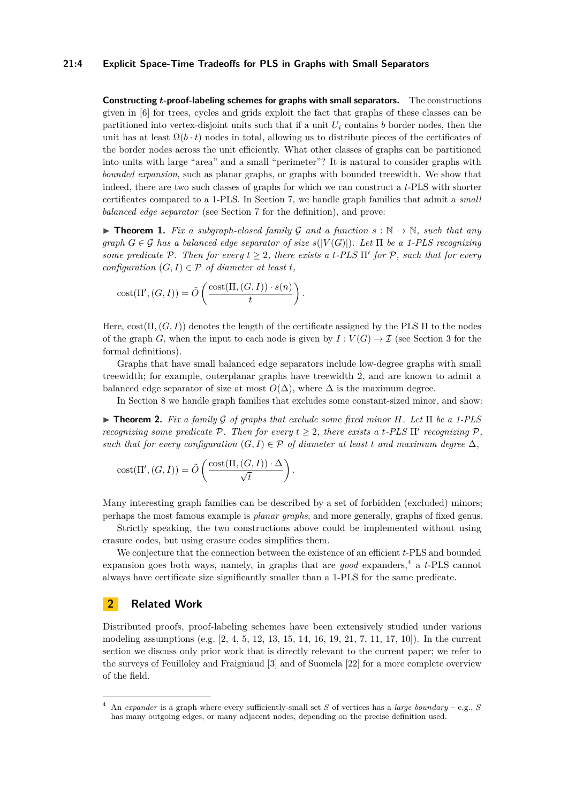### **21:4 Explicit Space-Time Tradeoffs for PLS in Graphs with Small Separators**

**Constructing** *t***-proof-labeling schemes for graphs with small separators.** The constructions given in [\[6\]](#page-15-0) for trees, cycles and grids exploit the fact that graphs of these classes can be partitioned into vertex-disjoint units such that if a unit  $U_i$  contains *b* border nodes, then the unit has at least  $\Omega(b \cdot t)$  nodes in total, allowing us to distribute pieces of the certificates of the border nodes across the unit efficiently. What other classes of graphs can be partitioned into units with large "area" and a small "perimeter"? It is natural to consider graphs with *bounded expansion*, such as planar graphs, or graphs with bounded treewidth. We show that indeed, there are two such classes of graphs for which we can construct a *t*-PLS with shorter certificates compared to a 1-PLS. In Section [7,](#page-11-0) we handle graph families that admit a *small balanced edge separator* (see Section [7](#page-11-0) for the definition), and prove:

<span id="page-3-1"></span>▶ **Theorem 1.** *Fix a subgraph-closed family*  $G$  *and a function*  $s : \mathbb{N} \to \mathbb{N}$ *, such that any*  $graph\ G \in \mathcal{G}$  has a balanced edge separator of size  $s(|V(G)|)$ . Let  $\Pi$  be a 1-PLS recognizing *some predicate*  $P$ *. Then for every*  $t \geq 2$ *, there exists a t-PLS*  $\Pi'$  *for*  $P$ *, such that for every configuration*  $(G, I) \in \mathcal{P}$  *of diameter at least t.* 

$$
cost(\Pi', (G, I)) = \tilde{O}\left(\frac{cost(\Pi, (G, I)) \cdot s(n)}{t}\right).
$$

Here, cost(Π*,*(*G, I*)) denotes the length of the certificate assigned by the PLS Π to the nodes of the graph *G*, when the input to each node is given by  $I: V(G) \to \mathcal{I}$  (see Section [3](#page-4-0) for the formal definitions).

Graphs that have small balanced edge separators include low-degree graphs with small treewidth; for example, outerplanar graphs have treewidth 2, and are known to admit a balanced edge separator of size at most  $O(\Delta)$ , where  $\Delta$  is the maximum degree.

In Section [8](#page-13-0) we handle graph families that excludes some constant-sized minor, and show:

<span id="page-3-2"></span>▶ **Theorem 2.** *Fix a family* G *of graphs that exclude some fixed minor H. Let* Π *be a 1-PLS recognizing some predicate*  $P$ *. Then for every*  $t \geq 2$ *, there exists a t-PLS*  $\Pi'$  *recognizing*  $P$ *, such that for every configuration*  $(G, I) \in \mathcal{P}$  *of diameter at least t and maximum degree*  $\Delta$ *,* 

$$
cost(\Pi', (G, I)) = \tilde{O}\left(\frac{cost(\Pi, (G, I)) \cdot \Delta}{\sqrt{t}}\right).
$$

Many interesting graph families can be described by a set of forbidden (excluded) minors; perhaps the most famous example is *planar graphs*, and more generally, graphs of fixed genus.

Strictly speaking, the two constructions above could be implemented without using erasure codes, but using erasure codes simplifies them.

We conjecture that the connection between the existence of an efficient *t*-PLS and bounded expansion goes both ways, namely, in graphs that are *good* expanders,<sup>[4](#page-3-0)</sup> a *t*-PLS cannot always have certificate size significantly smaller than a 1-PLS for the same predicate.

# **2 Related Work**

Distributed proofs, proof-labeling schemes have been extensively studied under various modeling assumptions (e.g. [\[2,](#page-15-1) [4,](#page-15-2) [5,](#page-15-3) [12,](#page-16-3) [13,](#page-16-4) [15,](#page-16-5) [14,](#page-16-6) [16,](#page-16-0) [19,](#page-16-7) [21,](#page-16-8) [7,](#page-15-4) [11,](#page-16-9) [17,](#page-16-10) [10\]](#page-16-1)). In the current section we discuss only prior work that is directly relevant to the current paper; we refer to the surveys of Feuilloley and Fraigniaud [\[3\]](#page-15-5) and of Suomela [\[22\]](#page-16-11) for a more complete overview of the field.

<span id="page-3-0"></span><sup>4</sup> An *expander* is a graph where every sufficiently-small set *S* of vertices has a *large boundary* – e.g., *S* has many outgoing edges, or many adjacent nodes, depending on the precise definition used.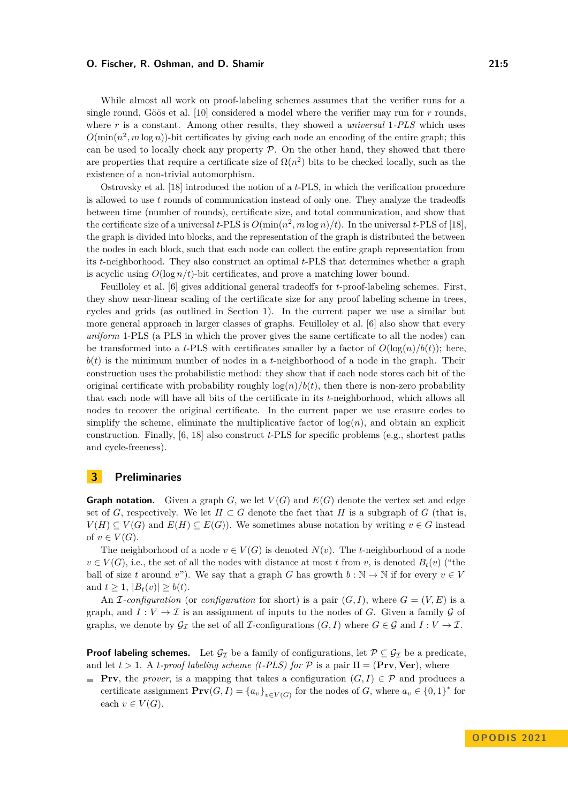While almost all work on proof-labeling schemes assumes that the verifier runs for a single round, Göös et al. [\[10\]](#page-16-1) considered a model where the verifier may run for *r* rounds, where *r* is a constant. Among other results, they showed a *universal* 1*-PLS* which uses  $O(\min(n^2, m \log n))$ -bit certificates by giving each node an encoding of the entire graph; this can be used to locally check any property  $P$ . On the other hand, they showed that there are properties that require a certificate size of  $\Omega(n^2)$  bits to be checked locally, such as the existence of a non-trivial automorphism.

Ostrovsky et al. [\[18\]](#page-16-2) introduced the notion of a *t*-PLS, in which the verification procedure is allowed to use *t* rounds of communication instead of only one. They analyze the tradeoffs between time (number of rounds), certificate size, and total communication, and show that the certificate size of a universal *t*-PLS is  $O(\min(n^2, m \log n)/t)$ . In the universal *t*-PLS of [\[18\]](#page-16-2), the graph is divided into blocks, and the representation of the graph is distributed the between the nodes in each block, such that each node can collect the entire graph representation from its *t*-neighborhood. They also construct an optimal *t*-PLS that determines whether a graph is acyclic using  $O(\log n/t)$ -bit certificates, and prove a matching lower bound.

Feuilloley et al. [\[6\]](#page-15-0) gives additional general tradeoffs for *t*-proof-labeling schemes. First, they show near-linear scaling of the certificate size for any proof labeling scheme in trees, cycles and grids (as outlined in Section [1\)](#page-0-0). In the current paper we use a similar but more general approach in larger classes of graphs. Feuilloley et al. [\[6\]](#page-15-0) also show that every *uniform* 1-PLS (a PLS in which the prover gives the same certificate to all the nodes) can be transformed into a *t*-PLS with certificates smaller by a factor of  $O(\log(n)/b(t))$ ; here, *b*(*t*) is the minimum number of nodes in a *t*-neighborhood of a node in the graph. Their construction uses the probabilistic method: they show that if each node stores each bit of the original certificate with probability roughly  $log(n)/b(t)$ , then there is non-zero probability that each node will have all bits of the certificate in its *t*-neighborhood, which allows all nodes to recover the original certificate. In the current paper we use erasure codes to simplify the scheme, eliminate the multiplicative factor of  $log(n)$ , and obtain an explicit construction. Finally, [\[6,](#page-15-0) [18\]](#page-16-2) also construct *t*-PLS for specific problems (e.g., shortest paths and cycle-freeness).

# <span id="page-4-0"></span>**3 Preliminaries**

**Graph notation.** Given a graph  $G$ , we let  $V(G)$  and  $E(G)$  denote the vertex set and edge set of *G*, respectively. We let  $H \subset G$  denote the fact that *H* is a subgraph of *G* (that is,  $V(H) \subseteq V(G)$  and  $E(H) \subseteq E(G)$ ). We sometimes abuse notation by writing  $v \in G$  instead of  $v \in V(G)$ .

The neighborhood of a node  $v \in V(G)$  is denoted  $N(v)$ . The *t*-neighborhood of a node  $v \in V(G)$ , i.e., the set of all the nodes with distance at most *t* from *v*, is denoted  $B_t(v)$  ("the ball of size *t* around *v*"). We say that a graph *G* has growth  $b : \mathbb{N} \to \mathbb{N}$  if for every  $v \in V$ and  $t \geq 1$ ,  $|B_t(v)| \geq b(t)$ .

An *I*-configuration (or *configuration* for short) is a pair  $(G, I)$ , where  $G = (V, E)$  is a graph, and  $I: V \to \mathcal{I}$  is an assignment of inputs to the nodes of *G*. Given a family *G* of graphs, we denote by  $\mathcal{G}_{\mathcal{I}}$  the set of all *I*-configurations  $(G, I)$  where  $G \in \mathcal{G}$  and  $I: V \to \mathcal{I}$ .

**Proof labeling schemes.** Let  $\mathcal{G}_{\mathcal{I}}$  be a family of configurations, let  $\mathcal{P} \subseteq \mathcal{G}_{\mathcal{I}}$  be a predicate, and let  $t > 1$ . A *t-proof labeling scheme (t-PLS) for*  $P$  is a pair  $\Pi = (\textbf{Prv}, \textbf{Ver})$ , where

**Prv**, the *prover*, is a mapping that takes a configuration  $(G, I) \in \mathcal{P}$  and produces a certificate assignment  $\mathbf{Prv}(G, I) = \{a_v\}_{v \in V(G)}$  for the nodes of *G*, where  $a_v \in \{0, 1\}^*$  for each  $v \in V(G)$ .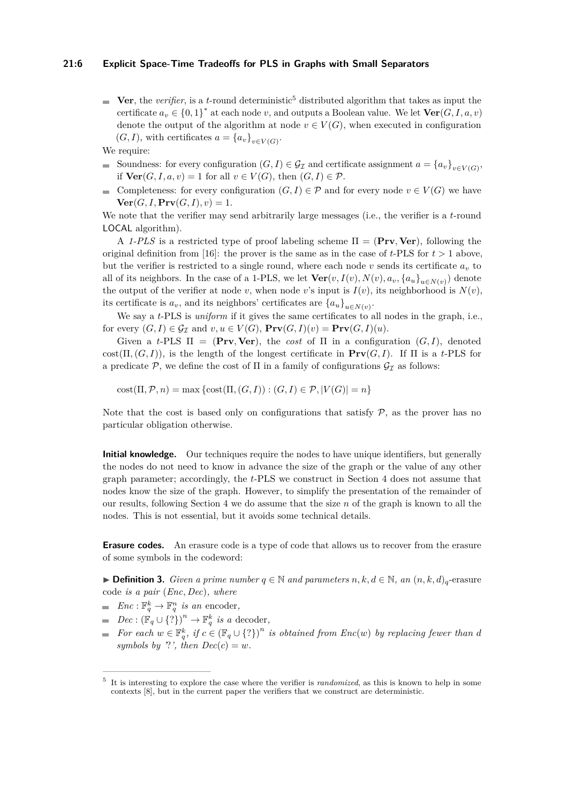### **21:6 Explicit Space-Time Tradeoffs for PLS in Graphs with Small Separators**

- **Ver**, the *verifier*, is a *t*-round deterministic<sup>[5](#page-5-0)</sup> distributed algorithm that takes as input the certificate  $a_v \in \{0,1\}^*$  at each node *v*, and outputs a Boolean value. We let  $\text{Ver}(G, I, a, v)$ denote the output of the algorithm at node  $v \in V(G)$ , when executed in configuration  $(G, I)$ , with certificates  $a = \{a_v\}_{v \in V(G)}$ .
- We require:
- Soundness: for every configuration  $(G, I) \in \mathcal{G}_{\mathcal{I}}$  and certificate assignment  $a = \{a_v\}_{v \in V(G)}$ , if  $\textbf{Ver}(G, I, a, v) = 1$  for all  $v \in V(G)$ , then  $(G, I) \in \mathcal{P}$ .
- Completeness: for every configuration  $(G, I) \in \mathcal{P}$  and for every node  $v \in V(G)$  we have  $\mathcal{L}_{\mathcal{A}}$  $\text{Ver}(G, I, \text{Prv}(G, I), v) = 1.$

We note that the verifier may send arbitrarily large messages (i.e., the verifier is a *t*-round LOCAL algorithm).

A *1-PLS* is a restricted type of proof labeling scheme  $\Pi = (\textbf{Prv}, \textbf{Ver})$ , following the original definition from [\[16\]](#page-16-0): the prover is the same as in the case of  $t$ -PLS for  $t > 1$  above, but the verifier is restricted to a single round, where each node  $v$  sends its certificate  $a_v$  to all of its neighbors. In the case of a 1-PLS, we let  $\textbf{Ver}(v, I(v), N(v), a_v, \{a_u\}_{u \in N(v)})$  denote the output of the verifier at node *v*, when node *v*'s input is  $I(v)$ , its neighborhood is  $N(v)$ , its certificate is  $a_v$ , and its neighbors' certificates are  $\{a_u\}_{u \in N(v)}$ .

We say a *t*-PLS is *uniform* if it gives the same certificates to all nodes in the graph, i.e., for every  $(G, I) \in \mathcal{G}_{\mathcal{I}}$  and  $v, u \in V(G)$ ,  $\mathbf{Prv}(G, I)(v) = \mathbf{Prv}(G, I)(u)$ .

Given a *t*-PLS  $\Pi$  = (Prv, Ver), the *cost* of  $\Pi$  in a configuration  $(G, I)$ , denoted  $cost(\Pi, (G, I))$ , is the length of the longest certificate in  $\text{Prv}(G, I)$ . If  $\Pi$  is a *t*-PLS for a predicate P, we define the cost of  $\Pi$  in a family of configurations  $\mathcal{G}_{\mathcal{I}}$  as follows:

 $\text{cost}(\Pi, \mathcal{P}, n) = \max \{ \text{cost}(\Pi, (G, I)) : (G, I) \in \mathcal{P}, |V(G)| = n \}$ 

Note that the cost is based only on configurations that satisfy  $P$ , as the prover has no particular obligation otherwise.

**Initial knowledge.** Our techniques require the nodes to have unique identifiers, but generally the nodes do not need to know in advance the size of the graph or the value of any other graph parameter; accordingly, the *t*-PLS we construct in Section [4](#page-6-0) does not assume that nodes know the size of the graph. However, to simplify the presentation of the remainder of our results, following Section [4](#page-6-0) we do assume that the size *n* of the graph is known to all the nodes. This is not essential, but it avoids some technical details.

**Erasure codes.** An erasure code is a type of code that allows us to recover from the erasure of some symbols in the codeword:

<span id="page-5-1"></span>▶ **Definition 3.** *Given a prime number*  $q \in \mathbb{N}$  *and parameters*  $n, k, d \in \mathbb{N}$ *, an*  $(n, k, d)$ <sub>*q*</sub>-erasure code *is a pair* (*Enc, Dec*)*, where*

- $Enc: \mathbb{F}_q^k \to \mathbb{F}_q^n$  *is an* encoder,
- $Dec: (\mathbb{F}_q \cup \{?\})^n \to \mathbb{F}_q^k$  *is a* decoder,
- *For each*  $w \in \mathbb{F}_q^k$ , if  $c \in (\mathbb{F}_q \cup \{? \})^n$  is obtained from  $Enc(w)$  by replacing fewer than d *symbols by '*?', then  $Dec(c) = w$ .

<span id="page-5-0"></span><sup>5</sup> It is interesting to explore the case where the verifier is *randomized*, as this is known to help in some contexts [\[8\]](#page-15-6), but in the current paper the verifiers that we construct are deterministic.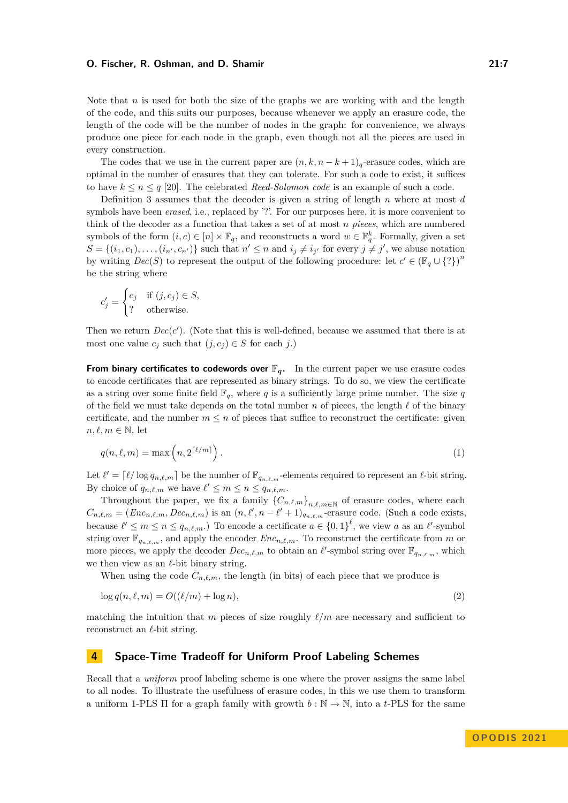Note that *n* is used for both the size of the graphs we are working with and the length of the code, and this suits our purposes, because whenever we apply an erasure code, the length of the code will be the number of nodes in the graph: for convenience, we always produce one piece for each node in the graph, even though not all the pieces are used in every construction.

The codes that we use in the current paper are  $(n, k, n - k + 1)$ <sub>q</sub>-erasure codes, which are optimal in the number of erasures that they can tolerate. For such a code to exist, it suffices to have  $k \leq n \leq q$  [\[20\]](#page-16-12). The celebrated *Reed-Solomon code* is an example of such a code.

Definition [3](#page-5-1) assumes that the decoder is given a string of length *n* where at most *d* symbols have been *erased*, i.e., replaced by '?'. For our purposes here, it is more convenient to think of the decoder as a function that takes a set of at most *n pieces*, which are numbered symbols of the form  $(i, c) \in [n] \times \mathbb{F}_q$ , and reconstructs a word  $w \in \mathbb{F}_q^k$ . Formally, given a set  $S = \{(i_1, c_1), \ldots, (i_{n'}, c_{n'})\}$  such that  $n' \leq n$  and  $i_j \neq i_{j'}$  for every  $j \neq j'$ , we abuse notation by writing  $Dec(S)$  to represent the output of the following procedure: let  $c' \in (\mathbb{F}_q \cup \{? \})^n$ be the string where

$$
c'_{j} = \begin{cases} c_{j} & \text{if } (j, c_{j}) \in S, \\ ? & \text{otherwise.} \end{cases}
$$

Then we return  $Dec(c')$ . (Note that this is well-defined, because we assumed that there is at most one value  $c_j$  such that  $(j, c_j) \in S$  for each *j*.)

**From binary certificates to codewords over**  $\mathbb{F}_q$ **.** In the current paper we use erasure codes to encode certificates that are represented as binary strings. To do so, we view the certificate as a string over some finite field  $\mathbb{F}_q$ , where *q* is a sufficiently large prime number. The size *q* of the field we must take depends on the total number *n* of pieces, the length *ℓ* of the binary certificate, and the number  $m \leq n$  of pieces that suffice to reconstruct the certificate: given  $n, \ell, m \in \mathbb{N}$ , let

$$
q(n,\ell,m) = \max\left(n, 2^{\lceil \ell/m \rceil}\right). \tag{1}
$$

Let  $\ell' = \lceil \ell / \log q_{n,\ell,m} \rceil$  be the number of  $\mathbb{F}_{q_{n,\ell,m}}$ -elements required to represent an  $\ell$ -bit string. By choice of  $q_{n,\ell,m}$  we have  $\ell' \leq m \leq n \leq q_{n,\ell,m}$ .

Throughout the paper, we fix a family  ${C_{n,\ell,m}}_{n,\ell,m\in\mathbb{N}}$  of erasure codes, where each  $C_{n,\ell,m} = (Enc_{n,\ell,m}, Dec_{n,\ell,m})$  is an  $(n,\ell',n-\ell'+1)_{q_{n,\ell,m}}$ -erasure code. (Such a code exists, because  $\ell' \leq m \leq n \leq q_{n,\ell,m}$ .) To encode a certificate  $a \in \{0,1\}^{\ell}$ , we view a as an  $\ell'$ -symbol string over  $\mathbb{F}_{q_{n,\ell,m}}$ , and apply the encoder  $Enc_{n,\ell,m}$ . To reconstruct the certificate from *m* or more pieces, we apply the decoder  $Dec_{n,\ell,m}$  to obtain an  $\ell'$ -symbol string over  $\mathbb{F}_{q_{n,\ell,m}}$ , which we then view as an *ℓ*-bit binary string.

<span id="page-6-1"></span>When using the code  $C_{n,\ell,m}$ , the length (in bits) of each piece that we produce is

$$
\log q(n,\ell,m) = O((\ell/m) + \log n),\tag{2}
$$

matching the intuition that *m* pieces of size roughly *ℓ/m* are necessary and sufficient to reconstruct an *ℓ*-bit string.

### <span id="page-6-0"></span>**4 Space-Time Tradeoff for Uniform Proof Labeling Schemes**

Recall that a *uniform* proof labeling scheme is one where the prover assigns the same label to all nodes. To illustrate the usefulness of erasure codes, in this we use them to transform a uniform 1-PLS  $\Pi$  for a graph family with growth  $b : \mathbb{N} \to \mathbb{N}$ , into a *t*-PLS for the same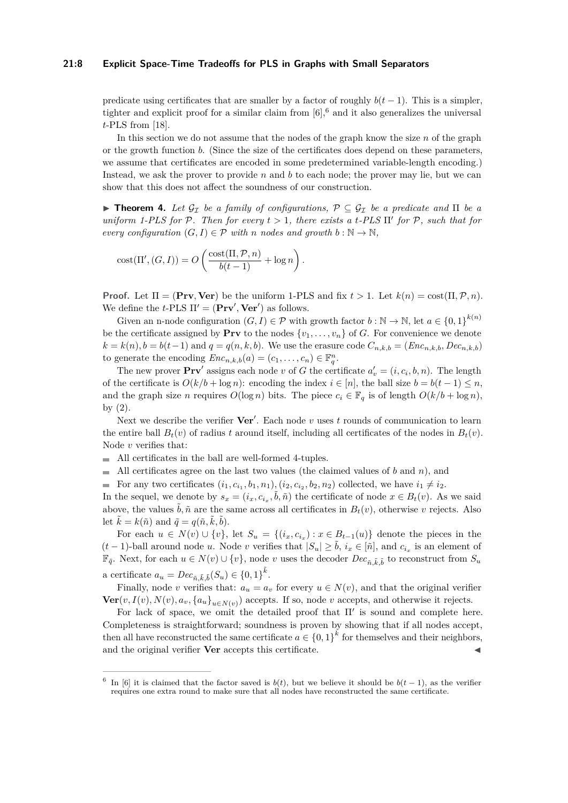### **21:8 Explicit Space-Time Tradeoffs for PLS in Graphs with Small Separators**

predicate using certificates that are smaller by a factor of roughly  $b(t-1)$ . This is a simpler, tighter and explicit proof for a similar claim from  $[6]$ , and it also generalizes the universal *t*-PLS from [\[18\]](#page-16-2).

In this section we do not assume that the nodes of the graph know the size *n* of the graph or the growth function *b*. (Since the size of the certificates does depend on these parameters, we assume that certificates are encoded in some predetermined variable-length encoding.) Instead, we ask the prover to provide *n* and *b* to each node; the prover may lie, but we can show that this does not affect the soundness of our construction.

**► Theorem 4.** Let  $\mathcal{G}_{\mathcal{I}}$  be a family of configurations,  $\mathcal{P} \subseteq \mathcal{G}_{\mathcal{I}}$  be a predicate and  $\Pi$  be a *uniform 1-PLS for*  $P$ *. Then for every*  $t > 1$ *, there exists a t-PLS*  $\Pi'$  *for*  $P$ *, such that for every configuration*  $(G, I) \in \mathcal{P}$  *with n nodes and growth*  $b : \mathbb{N} \to \mathbb{N}$ ,

$$
cost(\Pi', (G, I)) = O\left(\frac{cost(\Pi, \mathcal{P}, n)}{b(t-1)} + \log n\right).
$$

**Proof.** Let  $\Pi = (\mathbf{Prv}, \mathbf{Ver})$  be the uniform 1-PLS and fix  $t > 1$ . Let  $k(n) = \text{cost}(\Pi, \mathcal{P}, n)$ . We define the *t*-PLS  $\Pi' = (\mathbf{Prv}', \mathbf{Ver}')$  as follows.

Given an n-node configuration  $(G, I) \in \mathcal{P}$  with growth factor  $b : \mathbb{N} \to \mathbb{N}$ , let  $a \in \{0, 1\}^{k(n)}$ be the certificate assigned by **Prv** to the nodes  $\{v_1, \ldots, v_n\}$  of *G*. For convenience we denote  $k = k(n), b = b(t-1)$  and  $q = q(n, k, b)$ . We use the erasure code  $C_{n, k, b} = (Enc_{n, k, b}, Dec_{n, k, b})$ to generate the encoding  $Enc_{n,k,b}(a) = (c_1, \ldots, c_n) \in \mathbb{F}_q^n$ .

The new prover  $\mathbf{Prv}'$  assigns each node *v* of *G* the certificate  $a'_v = (i, c_i, b, n)$ . The length of the certificate is  $O(k/b + \log n)$ : encoding the index  $i \in [n]$ , the ball size  $b = b(t - 1) \leq n$ , and the graph size *n* requires  $O(\log n)$  bits. The piece  $c_i \in \mathbb{F}_q$  is of length  $O(k/b + \log n)$ , by [\(2\)](#page-6-1).

Next we describe the verifier  $Ver'$ . Each node *v* uses *t* rounds of communication to learn the entire ball  $B_t(v)$  of radius *t* around itself, including all certificates of the nodes in  $B_t(v)$ . Node *v* verifies that:

- All certificates in the ball are well-formed 4-tuples.
- All certificates agree on the last two values (the claimed values of  $b$  and  $n$ ), and
- For any two certificates  $(i_1, c_{i_1}, b_1, n_1), (i_2, c_{i_2}, b_2, n_2)$  collected, we have  $i_1 \neq i_2$ .

In the sequel, we denote by  $s_x = (i_x, c_{i_x}, \tilde{b}, \tilde{n})$  the certificate of node  $x \in B_t(v)$ . As we said above, the values  $\tilde{b}$ ,  $\tilde{n}$  are the same across all certificates in  $B_t(v)$ , otherwise *v* rejects. Also let  $\tilde{k} = k(\tilde{n})$  and  $\tilde{q} = q(\tilde{n}, \tilde{k}, \tilde{b})$ .

For each  $u \in N(v) \cup \{v\}$ , let  $S_u = \{(i_x, c_{i_x}) : x \in B_{t-1}(u)\}$  denote the pieces in the  $(t-1)$ -ball around node *u*. Node *v* verifies that  $|S_u| \geq \tilde{b}$ ,  $i_x \in [\tilde{n}]$ , and  $c_{i_x}$  is an element of  $\mathbb{F}_{q}$ . Next, for each *u* ∈ *N*(*v*) ∪ {*v*}, node *v* uses the decoder *Dec*<sub>*n*,  $\tilde{k}$ ,  $\tilde{b}$  to reconstruct from  $S_u$ </sub> a certificate  $a_u = Dec_{\tilde{n}, \tilde{k}, \tilde{b}}(S_u) \in \{0, 1\}^{\tilde{k}}$ .

Finally, node *v* verifies that:  $a_u = a_v$  for every  $u \in N(v)$ , and that the original verifier  $\textbf{Ver}(v, I(v), N(v), a_v, \{a_u\}_{u \in N(v)})$  accepts. If so, node *v* accepts, and otherwise it rejects.

For lack of space, we omit the detailed proof that Π′ is sound and complete here. Completeness is straightforward; soundness is proven by showing that if all nodes accept, then all have reconstructed the same certificate  $a \in \{0,1\}^k$  for themselves and their neighbors, and the original verifier **Ver** accepts this certificate.

<span id="page-7-0"></span><sup>&</sup>lt;sup>6</sup> In [\[6\]](#page-15-0) it is claimed that the factor saved is  $b(t)$ , but we believe it should be  $b(t-1)$ , as the verifier requires one extra round to make sure that all nodes have reconstructed the same certificate.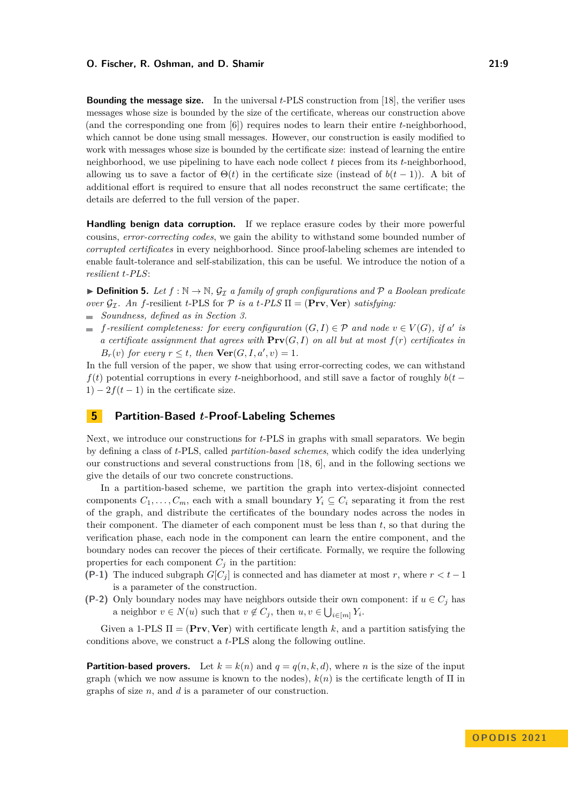**Bounding the message size.** In the universal *t*-PLS construction from [\[18\]](#page-16-2), the verifier uses messages whose size is bounded by the size of the certificate, whereas our construction above (and the corresponding one from [\[6\]](#page-15-0)) requires nodes to learn their entire *t*-neighborhood, which cannot be done using small messages. However, our construction is easily modified to work with messages whose size is bounded by the certificate size: instead of learning the entire neighborhood, we use pipelining to have each node collect *t* pieces from its *t*-neighborhood, allowing us to save a factor of  $\Theta(t)$  in the certificate size (instead of  $b(t-1)$ ). A bit of additional effort is required to ensure that all nodes reconstruct the same certificate; the details are deferred to the full version of the paper.

**Handling benign data corruption.** If we replace erasure codes by their more powerful cousins, *error-correcting codes*, we gain the ability to withstand some bounded number of *corrupted certificates* in every neighborhood. Since proof-labeling schemes are intended to enable fault-tolerance and self-stabilization, this can be useful. We introduce the notion of a *resilient t-PLS*:

▶ **Definition 5.** Let  $f : \mathbb{N} \to \mathbb{N}$ ,  $\mathcal{G}_{\mathcal{I}}$  a family of graph configurations and  $\mathcal{P}$  a Boolean predicate *over*  $\mathcal{G}_{\mathcal{I}}$ *. An f*-resilient *t*-PLS for  $\mathcal{P}$  *is a t*-*PLS*  $\Pi = (\textbf{Prv}, \textbf{Ver})$  *satisfying:* 

- *Soundness, defined as in Section [3.](#page-4-0)*
- *f*-resilient completeness: for every configuration  $(G, I) \in \mathcal{P}$  and node  $v \in V(G)$ , if a' is *a certificate assignment that agrees with*  $\text{Prv}(G, I)$  *on all but at most*  $f(r)$  *certificates in B<sub>r</sub>*(*v*) *for every*  $r \le t$ *, then*  $\text{Ver}(G, I, a', v) = 1$ *.*

In the full version of the paper, we show that using error-correcting codes, we can withstand  $f(t)$  potential corruptions in every *t*-neighborhood, and still save a factor of roughly  $b(t 1) - 2f(t-1)$  in the certificate size.

# <span id="page-8-0"></span>**5 Partition-Based** *t***-Proof-Labeling Schemes**

Next, we introduce our constructions for *t*-PLS in graphs with small separators. We begin by defining a class of *t*-PLS, called *partition-based schemes*, which codify the idea underlying our constructions and several constructions from [\[18,](#page-16-2) [6\]](#page-15-0), and in the following sections we give the details of our two concrete constructions.

In a partition-based scheme, we partition the graph into vertex-disjoint connected components  $C_1, \ldots, C_m$ , each with a small boundary  $Y_i \subseteq C_i$  separating it from the rest of the graph, and distribute the certificates of the boundary nodes across the nodes in their component. The diameter of each component must be less than *t*, so that during the verification phase, each node in the component can learn the entire component, and the boundary nodes can recover the pieces of their certificate. Formally, we require the following properties for each component  $C_j$  in the partition:

- **(P-1)** The induced subgraph  $G[C_i]$  is connected and has diameter at most *r*, where  $r < t 1$ is a parameter of the construction.
- **(P-2)** Only boundary nodes may have neighbors outside their own component: if  $u \in C_i$  has a neighbor  $v \in N(u)$  such that  $v \notin C_j$ , then  $u, v \in \bigcup_{i \in [m]} Y_i$ .

Given a 1-PLS  $\Pi = (\mathbf{Prv}, \mathbf{Ver})$  with certificate length k, and a partition satisfying the conditions above, we construct a *t*-PLS along the following outline.

**Partition-based provers.** Let  $k = k(n)$  and  $q = q(n, k, d)$ , where *n* is the size of the input graph (which we now assume is known to the nodes),  $k(n)$  is the certificate length of  $\Pi$  in graphs of size *n*, and *d* is a parameter of our construction.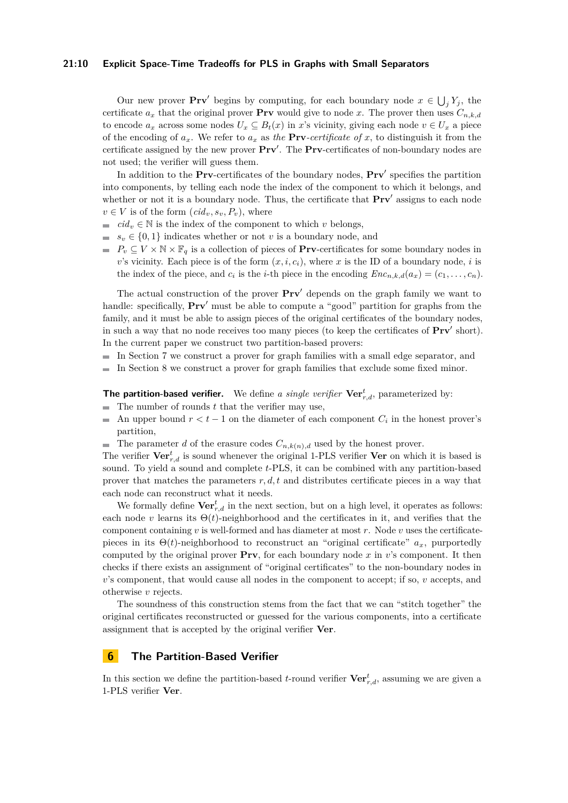### **21:10 Explicit Space-Time Tradeoffs for PLS in Graphs with Small Separators**

Our new prover  $\mathbf{Prv}'$  begins by computing, for each boundary node  $x \in \bigcup_j Y_j$ , the certificate  $a_x$  that the original prover **Prv** would give to node *x*. The prover then uses  $C_{n,k,d}$ to encode  $a_x$  across some nodes  $U_x \subseteq B_t(x)$  in *x*'s vicinity, giving each node  $v \in U_x$  a piece of the encoding of  $a_x$ . We refer to  $a_x$  as the **Prv**-certificate of x, to distinguish it from the certificate assigned by the new prover **Prv**′ . The **Prv**-certificates of non-boundary nodes are not used; the verifier will guess them.

In addition to the **Prv**-certificates of the boundary nodes, **Prv**′ specifies the partition into components, by telling each node the index of the component to which it belongs, and whether or not it is a boundary node. Thus, the certificate that  $Prv'$  assigns to each node  $v \in V$  is of the form  $(cid_v, s_v, P_v)$ , where

- *cid<sub>v</sub>*  $\in$  N is the index of the component to which *v* belongs,
- $s_v \in \{0,1\}$  indicates whether or not *v* is a boundary node, and
- $P_v \subseteq V \times N \times \mathbb{F}_q$  is a collection of pieces of **Prv**-certificates for some boundary nodes in *v*'s vicinity. Each piece is of the form  $(x, i, c_i)$ , where *x* is the ID of a boundary node, *i* is the index of the piece, and  $c_i$  is the *i*-th piece in the encoding  $Enc_{n,k,d}(a_x) = (c_1, \ldots, c_n)$ .

The actual construction of the prover **Prv**′ depends on the graph family we want to handle: specifically, **Prv'** must be able to compute a "good" partition for graphs from the family, and it must be able to assign pieces of the original certificates of the boundary nodes, in such a way that no node receives too many pieces (to keep the certificates of **Prv**′ short). In the current paper we construct two partition-based provers:

- $\blacksquare$  In Section [7](#page-11-0) we construct a prover for graph families with a small edge separator, and
- $\equiv$ In Section [8](#page-13-0) we construct a prover for graph families that exclude some fixed minor.

**The partition-based verifier.** We define *a single verifier* **Ver***<sup>t</sup> r,d*, parameterized by:

- The number of rounds *t* that the verifier may use,  $\sim$
- An upper bound  $r < t 1$  on the diameter of each component  $C_i$  in the honest prover's  $\blacksquare$ partition,
- The parameter *d* of the erasure codes  $C_{n,k(n),d}$  used by the honest prover.

The verifier **Ver***<sup>t</sup> r,d* is sound whenever the original 1-PLS verifier **Ver** on which it is based is sound. To yield a sound and complete *t*-PLS, it can be combined with any partition-based prover that matches the parameters *r, d, t* and distributes certificate pieces in a way that each node can reconstruct what it needs.

We formally define  $\mathbf{Ver}^t_{r,d}$  in the next section, but on a high level, it operates as follows: each node *v* learns its  $\Theta(t)$ -neighborhood and the certificates in it, and verifies that the component containing *v* is well-formed and has diameter at most *r*. Node *v* uses the certificatepieces in its  $\Theta(t)$ -neighborhood to reconstruct an "original certificate"  $a_x$ , purportedly computed by the original prover **Prv**, for each boundary node *x* in *v*'s component. It then checks if there exists an assignment of "original certificates" to the non-boundary nodes in *v*'s component, that would cause all nodes in the component to accept; if so, *v* accepts, and otherwise *v* rejects.

The soundness of this construction stems from the fact that we can "stitch together" the original certificates reconstructed or guessed for the various components, into a certificate assignment that is accepted by the original verifier **Ver**.

### <span id="page-9-0"></span>**6 The Partition-Based Verifier**

In this section we define the partition-based *t*-round verifier  $\mathbf{Ver}^t_{r,d}$ , assuming we are given a 1-PLS verifier **Ver**.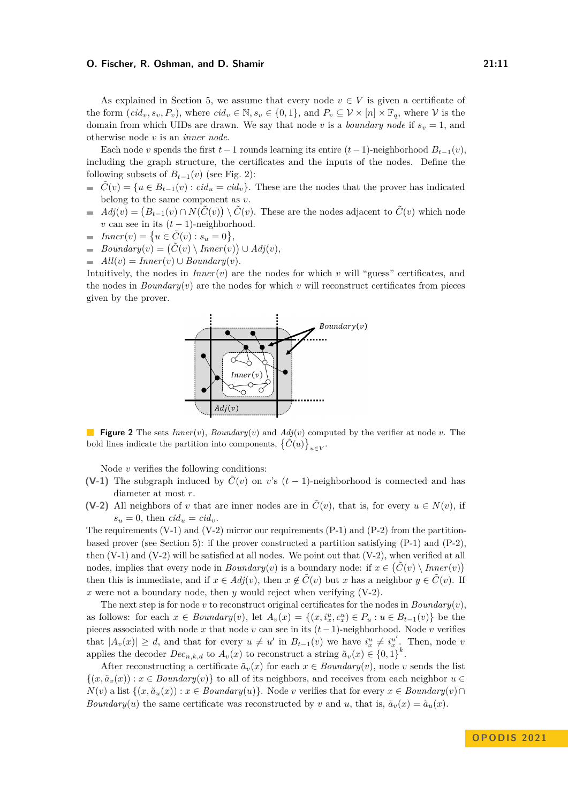As explained in Section [5,](#page-8-0) we assume that every node  $v \in V$  is given a certificate of the form  $(cid_v, s_v, P_v)$ , where  $cid_v \in \mathbb{N}, s_v \in \{0, 1\}$ , and  $P_v \subseteq \mathcal{V} \times [n] \times \mathbb{F}_q$ , where  $\mathcal{V}$  is the domain from which UIDs are drawn. We say that node v is a *boundary node* if  $s_v = 1$ , and otherwise node *v* is an *inner node*.

Each node *v* spends the first  $t-1$  rounds learning its entire  $(t-1)$ -neighborhood  $B_{t-1}(v)$ . including the graph structure, the certificates and the inputs of the nodes. Define the following subsets of  $B_{t-1}(v)$  (see Fig. [2\)](#page-10-0):

- $\mathcal{C}(v) = \{u \in B_{t-1}(v) : c id_u = c id_v\}.$  These are the nodes that the prover has indicated belong to the same component as *v*.
- $Adj(v) = (B_{t-1}(v) \cap N(\tilde{C}(v)) \setminus \tilde{C}(v)$ . These are the nodes adjacent to  $\tilde{C}(v)$  which node  $\blacksquare$ *v* can see in its  $(t-1)$ -neighborhood.
- $Inner(v) = \{u \in \tilde{C}(v) : s_u = 0\},\$ ÷
- $Boundary(v) = (\tilde{C}(v) \setminus Inner(v)) \cup Adj(v),$  $\overline{\phantom{a}}$
- $All(v) = Inner(v) \cup Boundary(v).$

<span id="page-10-0"></span>Intuitively, the nodes in *Inner*(*v*) are the nodes for which *v* will "guess" certificates, and the nodes in  $Boundary(v)$  are the nodes for which *v* will reconstruct certificates from pieces given by the prover.



**Figure 2** The sets *Inner*(*v*), *Boundary*(*v*) and *Adj*(*v*) computed by the verifier at node *v*. The bold lines indicate the partition into components,  $\left\{ \tilde{C}(u) \right\}_{u \in V}$ .

Node *v* verifies the following conditions:

- **(V-1)** The subgraph induced by  $\tilde{C}(v)$  on *v*'s  $(t-1)$ -neighborhood is connected and has diameter at most *r*.
- **(V-2)** All neighbors of *v* that are inner nodes are in  $\tilde{C}(v)$ , that is, for every  $u \in N(v)$ , if  $s_u = 0$ , then  $cid_u = cid_v$ .

The requirements  $(V-1)$  and  $(V-2)$  mirror our requirements  $(P-1)$  and  $(P-2)$  from the partition-based prover (see Section [5\)](#page-8-0): if the prover constructed a partition satisfying  $(P-1)$  and  $(P-2)$ , then  $(V-1)$  and  $(V-2)$  will be satisfied at all nodes. We point out that  $(V-2)$ , when verified at all nodes, implies that every node in *Boundary*(*v*) is a boundary node: if  $x \in (\tilde{C}(v) \setminus Inner(v))$ then this is immediate, and if  $x \in Adj(v)$ , then  $x \notin \tilde{C}(v)$  but *x* has a neighbor  $y \in \tilde{C}(v)$ . If *x* were not a boundary node, then *y* would reject when verifying (V-2).

The next step is for node  $v$  to reconstruct original certificates for the nodes in *Boundary* $(v)$ , as follows: for each  $x \in Boundary(v)$ , let  $A_v(x) = \{(x, i_x^u, c_x^u) \in P_u : u \in B_{t-1}(v)\}\)$  be the pieces associated with node *x* that node *v* can see in its (*t* − 1)-neighborhood. Node *v* verifies that  $|A_v(x)| \geq d$ , and that for every  $u \neq u'$  in  $B_{t-1}(v)$  we have  $i_x^u \neq i_x^{u'}$ . Then, node *v* applies the decoder  $Dec_{n,k,d}$  to  $A_v(x)$  to reconstruct a string  $\tilde{a}_v(x) \in \{0,1\}^k$ .

After reconstructing a certificate  $\tilde{a}_v(x)$  for each  $x \in Boundary(v)$ , node *v* sends the list  $\{(x, \tilde{a}_v(x)) : x \in Boundary(v)\}\$ to all of its neighbors, and receives from each neighbor  $u \in$  $N(v)$  a list  $\{(x, \tilde{a}_u(x)) : x \in Boundary(u)\}$ . Node *v* verifies that for every  $x \in Boundary(v) \cap$ *Boundary*(*u*) the same certificate was reconstructed by *v* and *u*, that is,  $\tilde{a}_v(x) = \tilde{a}_u(x)$ .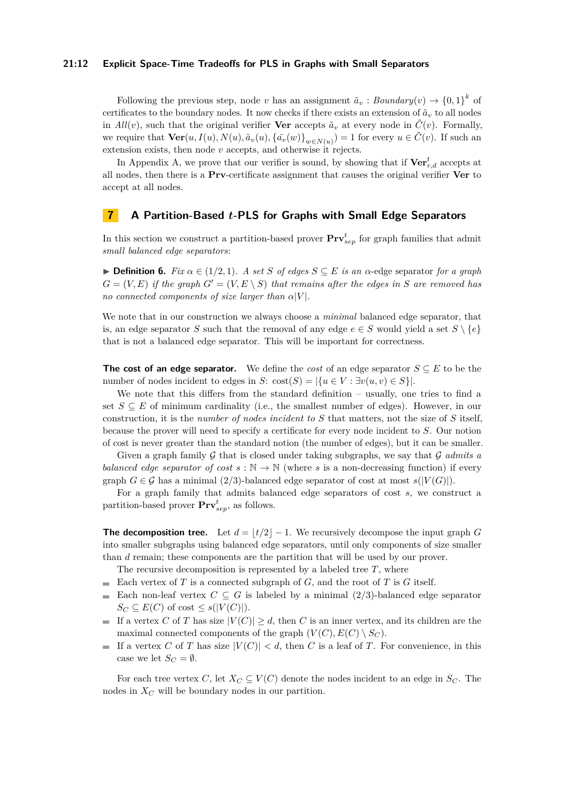### **21:12 Explicit Space-Time Tradeoffs for PLS in Graphs with Small Separators**

Following the previous step, node *v* has an assignment  $\tilde{a}_v$  : *Boundary*(*v*)  $\rightarrow$  {0, 1}<sup>*k*</sup> of certificates to the boundary nodes. It now checks if there exists an extension of  $\tilde{a}_v$  to all nodes in  $All(v)$ , such that the original verifier **Ver** accepts  $\tilde{a}_v$  at every node in  $\tilde{C}(v)$ . Formally, we require that  $\text{Ver}(u, I(u), N(u), \tilde{a}_v(u), {\{\tilde{a}_v(w)\}}_{w \in N(u)}) = 1$  for every  $u \in \tilde{C}(v)$ . If such an extension exists, then node *v* accepts, and otherwise it rejects.

In Appendix [A,](#page-16-13) we prove that our verifier is sound, by showing that if  $\mathrm{Ver}^t_{r,d}$  accepts at all nodes, then there is a **Prv**-certificate assignment that causes the original verifier **Ver** to accept at all nodes.

# <span id="page-11-0"></span>**7 A Partition-Based** *t***-PLS for Graphs with Small Edge Separators**

In this section we construct a partition-based prover  $Prv_{sep}^t$  for graph families that admit *small balanced edge separators*:

▶ **Definition 6.** *Fix α* ∈ (1*/*2*,* 1)*. A set S of edges S* ⊆ *E is an α*-edge separator *for a graph*  $G = (V, E)$  *if the graph*  $G' = (V, E \setminus S)$  *that remains after the edges in S* are removed has *no connected components of size larger than*  $\alpha |V|$ *.* 

We note that in our construction we always choose a *minimal* balanced edge separator, that is, an edge separator *S* such that the removal of any edge  $e \in S$  would yield a set  $S \setminus \{e\}$ that is not a balanced edge separator. This will be important for correctness.

**The cost of an edge separator.** We define the *cost* of an edge separator  $S \subseteq E$  to be the number of nodes incident to edges in *S*:  $cost(S) = |\{u \in V : \exists v(u, v) \in S\}|$ .

We note that this differs from the standard definition – usually, one tries to find a set  $S \subseteq E$  of minimum cardinality (i.e., the smallest number of edges). However, in our construction, it is the *number of nodes incident to S* that matters, not the size of *S* itself, because the prover will need to specify a certificate for every node incident to *S*. Our notion of cost is never greater than the standard notion (the number of edges), but it can be smaller.

Given a graph family G that is closed under taking subgraphs, we say that G *admits a balanced edge separator of cost*  $s : \mathbb{N} \to \mathbb{N}$  (where *s* is a non-decreasing function) if every graph  $G \in \mathcal{G}$  has a minimal (2/3)-balanced edge separator of cost at most  $s(|V(G)|)$ .

For a graph family that admits balanced edge separators of cost *s*, we construct a partition-based prover **Prv***<sup>t</sup> sep*, as follows.

**The decomposition tree.** Let  $d = |t/2| - 1$ . We recursively decompose the input graph *G* into smaller subgraphs using balanced edge separators, until only components of size smaller than *d* remain; these components are the partition that will be used by our prover.

The recursive decomposition is represented by a labeled tree *T*, where

- Each vertex of *T* is a connected subgraph of *G*, and the root of *T* is *G* itself.
- Each non-leaf vertex  $C \subseteq G$  is labeled by a minimal (2/3)-balanced edge separator  $\blacksquare$  $S_C \subseteq E(C)$  of cost  $\leq s(|V(C)|)$ .
- If a vertex *C* of *T* has size  $|V(C)| \geq d$ , then *C* is an inner vertex, and its children are the  $\blacksquare$ maximal connected components of the graph  $(V(C), E(C) \setminus S_C)$ .
- If a vertex *C* of *T* has size  $|V(C)| < d$ , then *C* is a leaf of *T*. For convenience, in this m. case we let  $S_C = \emptyset$ .

For each tree vertex *C*, let  $X_C \subseteq V(C)$  denote the nodes incident to an edge in  $S_C$ . The nodes in *X<sup>C</sup>* will be boundary nodes in our partition.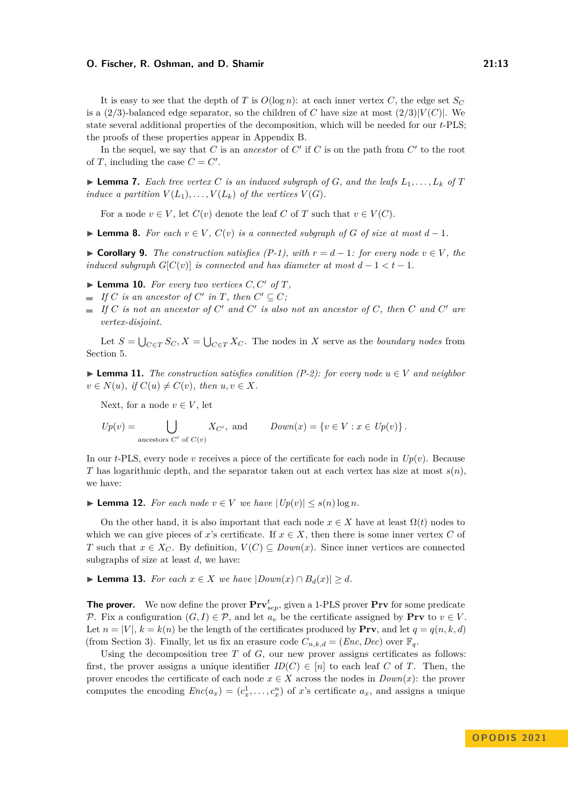It is easy to see that the depth of *T* is  $O(\log n)$ : at each inner vertex *C*, the edge set  $S_C$ is a (2/3)-balanced edge separator, so the children of *C* have size at most  $(2/3)|V(C)|$ . We state several additional properties of the decomposition, which will be needed for our *t*-PLS; the proofs of these properties appear in Appendix [B.](#page-18-0)

In the sequel, we say that  $C$  is an *ancestor* of  $C'$  if  $C$  is on the path from  $C'$  to the root of *T*, including the case  $C = C'$ .

<span id="page-12-1"></span> $\blacktriangleright$  **Lemma 7.** Each tree vertex C is an induced subgraph of G, and the leafs  $L_1, \ldots, L_k$  of T *induce a partition*  $V(L_1), \ldots, V(L_k)$  *of the vertices*  $V(G)$ *.* 

For a node  $v \in V$ , let  $C(v)$  denote the leaf C of T such that  $v \in V(C)$ .

<span id="page-12-2"></span>▶ **Lemma 8.** *For each*  $v \in V$ ,  $C(v)$  *is a connected subgraph of G of size at most*  $d-1$ *.* 

▶ **Corollary 9.** *The construction satisfies (P-1), with*  $r = d - 1$ *: for every node*  $v \in V$ *, the induced subgraph*  $G[C(v)]$  *is connected and has diameter at most*  $d-1 < t-1$ .

- <span id="page-12-3"></span> $\blacktriangleright$  **Lemma 10.** For every two vertices C, C' of T,
- *If*  $C$  *is an ancestor of*  $C'$  *in*  $T$ *, then*  $C' \subseteq C$ *;*
- *If C is not an ancestor of C* ′ *and C* ′ *is also not an ancestor of C, then C and C* ′ *are vertex-disjoint.*

Let  $S = \bigcup_{C \in T} S_C$ ,  $X = \bigcup_{C \in T} X_C$ . The nodes in *X* serve as the *boundary nodes* from Section [5.](#page-8-0)

<span id="page-12-4"></span>▶ **Lemma 11.** *The construction satisfies condition (P-2): for every node*  $u \in V$  *and neighbor*  $v \in N(u)$ , if  $C(u) \neq C(v)$ , then  $u, v \in X$ .

Next, for a node  $v \in V$ , let

$$
Up(v) = \bigcup_{\text{ancestors } C' \text{ of } C(v)} X_{C'}, \text{ and } \qquad Down(x) = \{v \in V : x \in Up(v)\}.
$$

In our *t*-PLS, every node *v* receives a piece of the certificate for each node in  $Up(v)$ . Because *T* has logarithmic depth, and the separator taken out at each vertex has size at most  $s(n)$ , we have:

<span id="page-12-5"></span>▶ **Lemma 12.** *For each node*  $v \in V$  *we have*  $|Up(v)| \leq s(n) \log n$ *.* 

On the other hand, it is also important that each node  $x \in X$  have at least  $\Omega(t)$  nodes to which we can give pieces of *x*'s certificate. If  $x \in X$ , then there is some inner vertex C of *T* such that *x* ∈ *X<sub>C</sub>*. By definition,  $V(C) ⊆ Down(x)$ . Since inner vertices are connected subgraphs of size at least *d*, we have:

<span id="page-12-0"></span>▶ **Lemma 13.** *For each*  $x \in X$  *we have*  $|Down(x) \cap B_d(x)| > d$ *.* 

**The prover.** We now define the prover  $\mathbf{Prv}_{sep}^t$ , given a 1-PLS prover  $\mathbf{Prv}$  for some predicate P. Fix a configuration  $(G, I) \in \mathcal{P}$ , and let  $a_v$  be the certificate assigned by **Prv** to  $v \in V$ . Let  $n = |V|, k = k(n)$  be the length of the certificates produced by **Prv**, and let  $q = q(n, k, d)$ (from Section [3\)](#page-4-0). Finally, let us fix an erasure code  $C_{n,k,d} = (Enc, Dec)$  over  $\mathbb{F}_q$ .

Using the decomposition tree  $T$  of  $G$ , our new prover assigns certificates as follows: first, the prover assigns a unique identifier  $ID(C) \in [n]$  to each leaf *C* of *T*. Then, the prover encodes the certificate of each node  $x \in X$  across the nodes in  $Down(x)$ : the prover computes the encoding  $Enc(a_x) = (c_x^1, \ldots, c_x^n)$  of *x*'s certificate  $a_x$ , and assigns a unique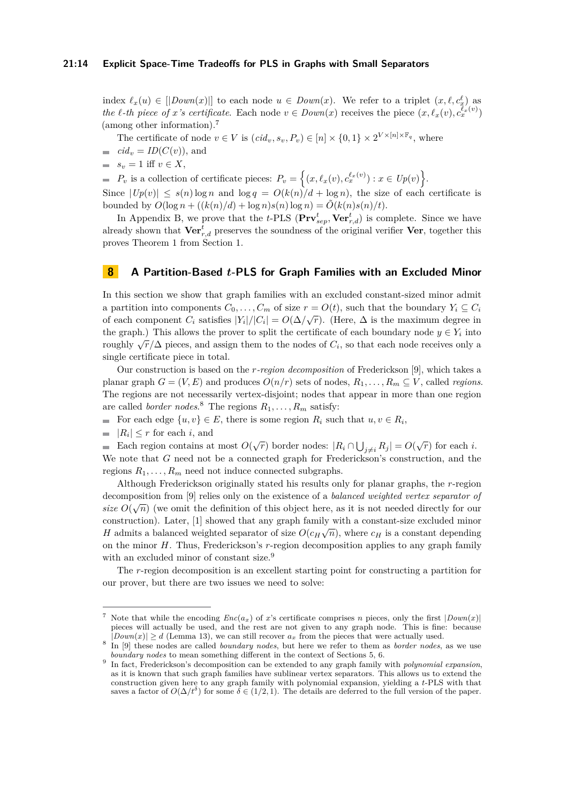### **21:14 Explicit Space-Time Tradeoffs for PLS in Graphs with Small Separators**

index  $\ell_x(u) \in [$   $[Down(x)]$  to each node  $u \in Down(x)$ . We refer to a triplet  $(x, \ell, c_x^{\ell})$  as *the l*-th piece of *x s* certificate. Each node  $v \in Down(x)$  receives the piece  $(x, \ell_x(v), c_x^{\ell_x(v)})$ (among other information).[7](#page-13-1)

The certificate of node  $v \in V$  is  $(cid_v, s_v, P_v) \in [n] \times \{0, 1\} \times 2^{V \times [n] \times \mathbb{F}_q}$ , where

- $\equiv$  *cid<sub>v</sub>* = *ID*(*C*(*v*)), and
- $s_v = 1$  iff  $v \in X$ ,

 $P_v$  is a collection of certificate pieces:  $P_v = \{(x, \ell_x(v), c_x^{\ell_x(v)}): x \in Up(v)\}.$ 

Since  $|Up(v)| \leq s(n) \log n$  and  $\log q = O(k(n)/d + \log n)$ , the size of each certificate is bounded by  $O(\log n + ((k(n)/d) + \log n)s(n) \log n) = O(k(n)s(n)/t).$ 

In Appendix [B,](#page-18-0) we prove that the *t*-PLS  $(\mathbf{Prv}_{sep}^t, \mathbf{Ver}_{r,d}^t)$  is complete. Since we have already shown that  $\mathbf{Ver}^t_{r,d}$  preserves the soundness of the original verifier  $\mathbf{Ver}$ , together this proves Theorem [1](#page-3-1) from Section [1.](#page-0-0)

### <span id="page-13-0"></span>**8 A Partition-Based** *t***-PLS for Graph Families with an Excluded Minor**

In this section we show that graph families with an excluded constant-sized minor admit a partition into components  $C_0, \ldots, C_m$  of size  $r = O(t)$ , such that the boundary  $Y_i \subseteq C_i$ of each component  $C_i$  satisfies  $|Y_i|/|C_i| = O(\Delta/\sqrt{r})$ . (Here,  $\Delta$  is the maximum degree in the graph.) This allows the prover to split the certificate of each boundary node  $y \in Y_i$  into roughly  $\sqrt{r}/\Delta$  pieces, and assign them to the nodes of *C*<sub>*i*</sub>, so that each node receives only a single certificate piece in total.

Our construction is based on the *r-region decomposition* of Frederickson [\[9\]](#page-16-14), which takes a planar graph  $G = (V, E)$  and produces  $O(n/r)$  sets of nodes,  $R_1, \ldots, R_m \subseteq V$ , called *regions*. The regions are not necessarily vertex-disjoint; nodes that appear in more than one region are called *border nodes.*<sup>[8](#page-13-2)</sup> The regions  $R_1, \ldots, R_m$  satisfy:

For each edge  $\{u, v\} \in E$ , there is some region  $R_i$  such that  $u, v \in R_i$ ,

 $|R_i| \leq r$  for each *i*, and

Each region contains at most  $O(\sqrt{r})$  border nodes:  $|R_i \cap \bigcup_{j \neq i} R_j| = O(\sqrt{r})$  for each *i*. We note that *G* need not be a connected graph for Frederickson's construction, and the regions  $R_1, \ldots, R_m$  need not induce connected subgraphs.

Although Frederickson originally stated his results only for planar graphs, the *r*-region decomposition from [\[9\]](#page-16-14) relies only on the existence of a *balanced weighted vertex separator of size*  $O(\sqrt{n})$  (we omit the definition of this object here, as it is not needed directly for our construction). Later, [\[1\]](#page-15-7) showed that any graph family with a constant-size excluded minor *H* admits a balanced weighted separator of size  $O(c_H\sqrt{n})$ , where  $c_H$  is a constant depending on the minor *H*. Thus, Frederickson's *r*-region decomposition applies to any graph family with an excluded minor of constant size.<sup>[9](#page-13-3)</sup>

The *r*-region decomposition is an excellent starting point for constructing a partition for our prover, but there are two issues we need to solve:

<span id="page-13-1"></span><sup>&</sup>lt;sup>7</sup> Note that while the encoding  $Enc(a_x)$  of *x*'s certificate comprises *n* pieces, only the first  $|Down(x)|$ pieces will actually be used, and the rest are not given to any graph node. This is fine: because  $|Down(x)| \ge d$  (Lemma [13\)](#page-12-0), we can still recover  $a_x$  from the pieces that were actually used.

<span id="page-13-2"></span><sup>8</sup> In [\[9\]](#page-16-14) these nodes are called *boundary nodes*, but here we refer to them as *border nodes*, as we use *boundary nodes* to mean something different in the context of Sections [5,](#page-8-0) [6.](#page-9-0)

<span id="page-13-3"></span><sup>9</sup> In fact, Frederickson's decomposition can be extended to any graph family with *polynomial expansion*, as it is known that such graph families have sublinear vertex separators. This allows us to extend the construction given here to any graph family with polynomial expansion, yielding a *t*-PLS with that saves a factor of  $O(\Delta/t^{\delta})$  for some  $\delta \in (1/2, 1)$ . The details are deferred to the full version of the paper.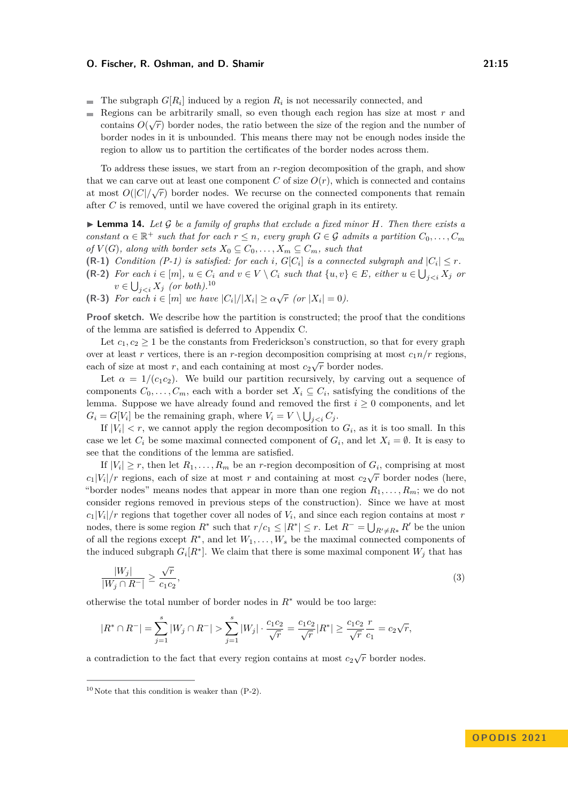- The subgraph  $G[R_i]$  induced by a region  $R_i$  is not necessarily connected, and
- $\overline{a}$ Regions can be arbitrarily small, so even though each region has size at most  $r$  and contains  $O(\sqrt{r})$  border nodes, the ratio between the size of the region and the number of border nodes in it is unbounded. This means there may not be enough nodes inside the region to allow us to partition the certificates of the border nodes across them.

To address these issues, we start from an *r*-region decomposition of the graph, and show that we can carve out at least one component *C* of size  $O(r)$ , which is connected and contains at most  $O(|C|/\sqrt{r})$  border nodes. We recurse on the connected components that remain after *C* is removed, until we have covered the original graph in its entirety.

▶ **Lemma 14.** *Let* G *be a family of graphs that exclude a fixed minor H. Then there exists a constant*  $\alpha \in \mathbb{R}^+$  *such that for each*  $r \leq n$ *, every graph*  $G \in \mathcal{G}$  *admits* a partition  $C_0, \ldots, C_m$ *of*  $V(G)$ *, along with border sets*  $X_0 \subseteq C_0, \ldots, X_m \subseteq C_m$ *, such that* 

- **(R-1)** *Condition (P-1) is satisfied: for each <i>i*,  $G[C_i]$  *is a connected subgraph and*  $|C_i| \leq r$ .
- (R-2) For each  $i \in [m]$ ,  $u \in C_i$  and  $v \in V \setminus C_i$  such that  $\{u, v\} \in E$ , either  $u \in \bigcup_{j < i} X_j$  or  $v \in \bigcup_{j *(or both)*.<sup>[10](#page-14-0)</sup>$
- <span id="page-14-2"></span>**(R-3)** For each  $i \in [m]$  we have  $|C_i|/|X_i| \ge \alpha \sqrt{r}$  (or  $|X_i| = 0$ ).

**Proof sketch.** We describe how the partition is constructed; the proof that the conditions of the lemma are satisfied is deferred to Appendix [C.](#page-20-0)

Let  $c_1, c_2 \geq 1$  be the constants from Frederickson's construction, so that for every graph over at least *r* vertices, there is an *r*-region decomposition comprising at most  $c_1 n/r$  regions, each of size at most  $r$ , and each containing at most  $c_2\sqrt{r}$  border nodes.

Let  $\alpha = 1/(c_1c_2)$ . We build our partition recursively, by carving out a sequence of components  $C_0, \ldots, C_m$ , each with a border set  $X_i \subseteq C_i$ , satisfying the conditions of the lemma. Suppose we have already found and removed the first  $i \geq 0$  components, and let  $G_i = G[V_i]$  be the remaining graph, where  $V_i = V \setminus \bigcup_{j < i} C_j$ .

If  $|V_i| < r$ , we cannot apply the region decomposition to  $G_i$ , as it is too small. In this case we let  $C_i$  be some maximal connected component of  $G_i$ , and let  $X_i = \emptyset$ . It is easy to see that the conditions of the lemma are satisfied.

If  $|V_i| \geq r$ , then let  $R_1, \ldots, R_m$  be an *r*-region decomposition of  $G_i$ , comprising at most  $c_1|V_i|/r$  regions, each of size at most *r* and containing at most  $c_2\sqrt{r}$  border nodes (here, "border nodes" means nodes that appear in more than one region  $R_1, \ldots, R_m$ ; we do not consider regions removed in previous steps of the construction). Since we have at most  $c_1|V_i|/r$  regions that together cover all nodes of  $V_i$ , and since each region contains at most *r* nodes, there is some region  $R^*$  such that  $r/c_1 \leq |R^*| \leq r$ . Let  $R^- = \bigcup_{R' \neq R^*} R'$  be the union of all the regions except *R*<sup>∗</sup> , and let *W*1*, . . . , W<sup>s</sup>* be the maximal connected components of the induced subgraph  $G_i[R^*]$ . We claim that there is some maximal component  $W_j$  that has

<span id="page-14-1"></span>
$$
\frac{|W_j|}{|W_j \cap R^-|} \ge \frac{\sqrt{r}}{c_1 c_2},\tag{3}
$$

otherwise the total number of border nodes in *R*<sup>∗</sup> would be too large:

$$
|R^* \cap R^-| = \sum_{j=1}^s |W_j \cap R^-| > \sum_{j=1}^s |W_j| \cdot \frac{c_1 c_2}{\sqrt{r}} = \frac{c_1 c_2}{\sqrt{r}} |R^*| \ge \frac{c_1 c_2}{\sqrt{r}} \frac{r}{c_1} = c_2 \sqrt{r},
$$

a contradiction to the fact that every region contains at most  $c_2\sqrt{r}$  border nodes.

<span id="page-14-0"></span> $10$  Note that this condition is weaker than  $(P-2)$ .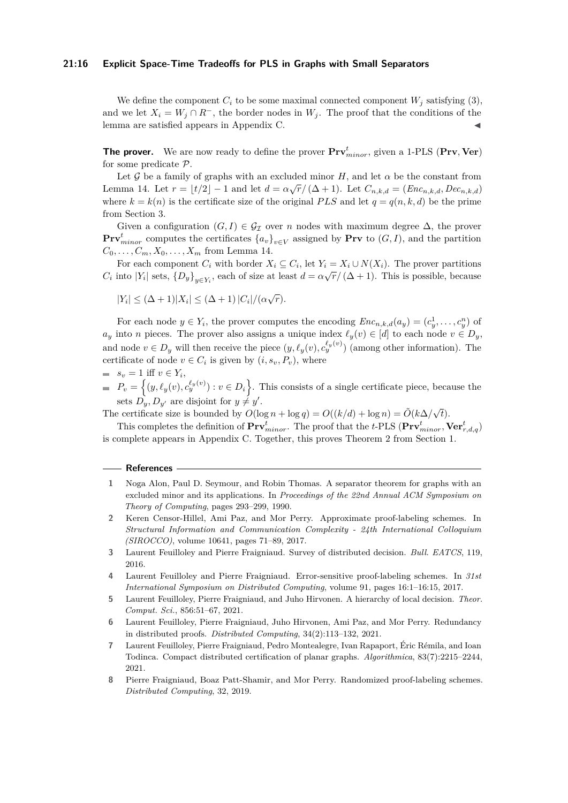### **21:16 Explicit Space-Time Tradeoffs for PLS in Graphs with Small Separators**

We define the component  $C_i$  to be some maximal connected component  $W_i$  satisfying [\(3\)](#page-14-1), and we let  $X_i = W_j \cap R^-$ , the border nodes in  $W_j$ . The proof that the conditions of the lemma are satisfied appears in Appendix [C.](#page-20-0)

**The prover.** We are now ready to define the prover **Prv***<sup>t</sup> minor*, given a 1-PLS (**Prv***,* **Ver**) for some predicate P.

Let G be a family of graphs with an excluded minor *H*, and let  $\alpha$  be the constant from Let *y* be *a* ranny of graphs with an excluded initial  $T$ , and let  $d$  be the constant from Lemma [14.](#page-14-2) Let  $r = \lfloor t/2 \rfloor - 1$  and let  $d = \alpha \sqrt{r}/(\Delta + 1)$ . Let  $C_{n,k,d} = (Enc_{n,k,d}, Dec_{n,k,d})$ where  $k = k(n)$  is the certificate size of the original *PLS* and let  $q = q(n, k, d)$  be the prime from Section [3.](#page-4-0)

Given a configuration  $(G, I) \in \mathcal{G}_{\mathcal{I}}$  over *n* nodes with maximum degree  $\Delta$ , the prover **Prv**<sup>*t*</sup><sub>*minor*</sub> computes the certificates  $\{a_v\}_{v \in V}$  assigned by **Prv** to  $(G, I)$ , and the partition  $C_0, \ldots, C_m, X_0, \ldots, X_m$  from Lemma [14.](#page-14-2)

For each component  $C_i$  with border  $X_i \subseteq C_i$ , let  $Y_i = X_i \cup N(X_i)$ . The prover partitions *C*<sup>*i*</sup> into  $|Y_i|$  sets,  $\{D_y\}_{y \in Y_i}$ , each of size at least  $d = \alpha \sqrt{r}/(\Delta + 1)$ . This is possible, because

$$
|Y_i| \le (\Delta + 1)|X_i| \le (\Delta + 1)|C_i|/(\alpha\sqrt{r}).
$$

For each node  $y \in Y_i$ , the prover computes the encoding  $Enc_{n,k,d}(a_y) = (c_y^1, \ldots, c_y^n)$  of  $a_y$  into *n* pieces. The prover also assigns a unique index  $\ell_y(v) \in [d]$  to each node  $v \in D_y$ , and node  $v \in D_y$  will then receive the piece  $(y, \ell_y(v), c_y^{\ell_y(v)})$  (among other information). The certificate of node  $v \in C_i$  is given by  $(i, s_v, P_v)$ , where

- $s_v = 1$  iff  $v \in Y_i$ ,
- $P_v = \{(y, \ell_y(v), c_y^{\ell_y(v)}) : v \in D_i\}$ . This consists of a single certificate piece, because the sets  $D_y, D_{y'}$  are disjoint for  $y \neq y'$ .

The certificate size is bounded by  $O(\log n + \log q) = O((k/d) + \log n) = \tilde{O}(k\Delta/\sqrt{2})$ *t*).

This completes the definition of  $\text{Prv}^t_{minor}$ . The proof that the *t*-PLS ( $\text{Prv}^t_{minor}$ ,  $\text{Ver}^t_{r,d,q}$ ) is complete appears in Appendix [C.](#page-20-0) Together, this proves Theorem [2](#page-3-2) from Section [1.](#page-0-0)

#### **References**

- <span id="page-15-7"></span>**1** Noga Alon, Paul D. Seymour, and Robin Thomas. A separator theorem for graphs with an excluded minor and its applications. In *Proceedings of the 22nd Annual ACM Symposium on Theory of Computing*, pages 293–299, 1990.
- <span id="page-15-1"></span>**2** Keren Censor-Hillel, Ami Paz, and Mor Perry. Approximate proof-labeling schemes. In *Structural Information and Communication Complexity - 24th International Colloquium (SIROCCO)*, volume 10641, pages 71–89, 2017.
- <span id="page-15-5"></span>**3** Laurent Feuilloley and Pierre Fraigniaud. Survey of distributed decision. *Bull. EATCS*, 119, 2016.
- <span id="page-15-2"></span>**4** Laurent Feuilloley and Pierre Fraigniaud. Error-sensitive proof-labeling schemes. In *31st International Symposium on Distributed Computing*, volume 91, pages 16:1–16:15, 2017.
- <span id="page-15-3"></span>**5** Laurent Feuilloley, Pierre Fraigniaud, and Juho Hirvonen. A hierarchy of local decision. *Theor. Comput. Sci.*, 856:51–67, 2021.
- <span id="page-15-0"></span>**6** Laurent Feuilloley, Pierre Fraigniaud, Juho Hirvonen, Ami Paz, and Mor Perry. Redundancy in distributed proofs. *Distributed Computing*, 34(2):113–132, 2021.
- <span id="page-15-4"></span>**7** Laurent Feuilloley, Pierre Fraigniaud, Pedro Montealegre, Ivan Rapaport, Éric Rémila, and Ioan Todinca. Compact distributed certification of planar graphs. *Algorithmica*, 83(7):2215–2244, 2021.
- <span id="page-15-6"></span>**8** Pierre Fraigniaud, Boaz Patt-Shamir, and Mor Perry. Randomized proof-labeling schemes. *Distributed Computing*, 32, 2019.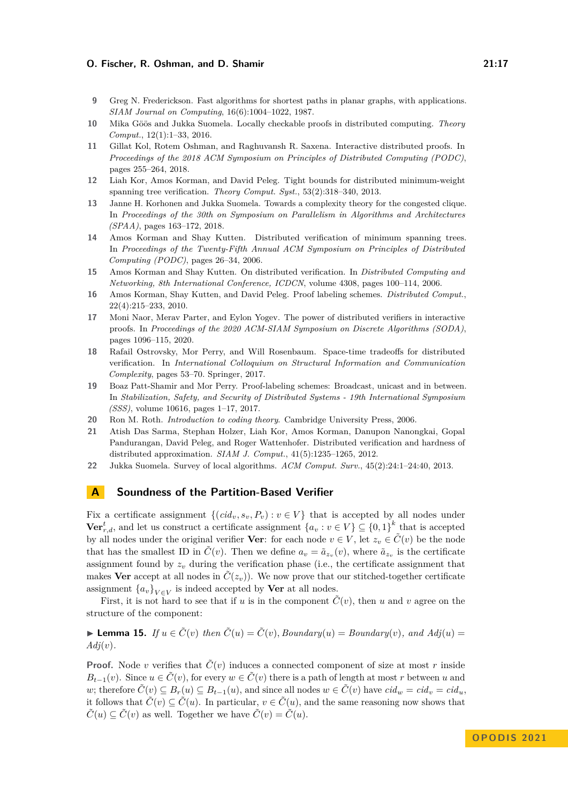- <span id="page-16-14"></span>**9** Greg N. Frederickson. Fast algorithms for shortest paths in planar graphs, with applications. *SIAM Journal on Computing*, 16(6):1004–1022, 1987.
- <span id="page-16-1"></span>**10** Mika Göös and Jukka Suomela. Locally checkable proofs in distributed computing. *Theory Comput.*, 12(1):1–33, 2016.
- <span id="page-16-9"></span>**11** Gillat Kol, Rotem Oshman, and Raghuvansh R. Saxena. Interactive distributed proofs. In *Proceedings of the 2018 ACM Symposium on Principles of Distributed Computing (PODC)*, pages 255–264, 2018.
- <span id="page-16-3"></span>**12** Liah Kor, Amos Korman, and David Peleg. Tight bounds for distributed minimum-weight spanning tree verification. *Theory Comput. Syst.*, 53(2):318–340, 2013.
- <span id="page-16-4"></span>**13** Janne H. Korhonen and Jukka Suomela. Towards a complexity theory for the congested clique. In *Proceedings of the 30th on Symposium on Parallelism in Algorithms and Architectures (SPAA)*, pages 163–172, 2018.
- <span id="page-16-6"></span>**14** Amos Korman and Shay Kutten. Distributed verification of minimum spanning trees. In *Proceedings of the Twenty-Fifth Annual ACM Symposium on Principles of Distributed Computing (PODC)*, pages 26–34, 2006.
- <span id="page-16-5"></span>**15** Amos Korman and Shay Kutten. On distributed verification. In *Distributed Computing and Networking, 8th International Conference, ICDCN*, volume 4308, pages 100–114, 2006.
- <span id="page-16-0"></span>**16** Amos Korman, Shay Kutten, and David Peleg. Proof labeling schemes. *Distributed Comput.*, 22(4):215–233, 2010.
- <span id="page-16-10"></span>**17** Moni Naor, Merav Parter, and Eylon Yogev. The power of distributed verifiers in interactive proofs. In *Proceedings of the 2020 ACM-SIAM Symposium on Discrete Algorithms (SODA)*, pages 1096–115, 2020.
- <span id="page-16-2"></span>**18** Rafail Ostrovsky, Mor Perry, and Will Rosenbaum. Space-time tradeoffs for distributed verification. In *International Colloquium on Structural Information and Communication Complexity*, pages 53–70. Springer, 2017.
- <span id="page-16-7"></span>**19** Boaz Patt-Shamir and Mor Perry. Proof-labeling schemes: Broadcast, unicast and in between. In *Stabilization, Safety, and Security of Distributed Systems - 19th International Symposium (SSS)*, volume 10616, pages 1–17, 2017.
- <span id="page-16-12"></span>**20** Ron M. Roth. *Introduction to coding theory*. Cambridge University Press, 2006.
- <span id="page-16-8"></span>**21** Atish Das Sarma, Stephan Holzer, Liah Kor, Amos Korman, Danupon Nanongkai, Gopal Pandurangan, David Peleg, and Roger Wattenhofer. Distributed verification and hardness of distributed approximation. *SIAM J. Comput.*, 41(5):1235–1265, 2012.
- <span id="page-16-11"></span>**22** Jukka Suomela. Survey of local algorithms. *ACM Comput. Surv.*, 45(2):24:1–24:40, 2013.

# <span id="page-16-13"></span>**A Soundness of the Partition-Based Verifier**

Fix a certificate assignment  $\{(cid_v, s_v, P_v) : v \in V\}$  that is accepted by all nodes under **Ver**<sup>*t*</sup><sub>*r,d*</sub>, and let us construct a certificate assignment  $\{a_v : v \in V\} \subseteq \{0,1\}^k$  that is accepted by all nodes under the original verifier **Ver**: for each node  $v \in V$ , let  $z_v \in C(v)$  be the node that has the smallest ID in  $\tilde{C}(v)$ . Then we define  $a_v = \tilde{a}_{z_v}(v)$ , where  $\tilde{a}_{z_v}$  is the certificate assignment found by  $z_v$  during the verification phase (i.e., the certificate assignment that makes **Ver** accept at all nodes in  $C(z_v)$ ). We now prove that our stitched-together certificate assignment  $\{a_v\}_{v \in V}$  is indeed accepted by **Ver** at all nodes.

First, it is not hard to see that if *u* is in the component  $\tilde{C}(v)$ , then *u* and *v* agree on the structure of the component:

<span id="page-16-15"></span>▶ **Lemma 15.** *If*  $u \in \tilde{C}(v)$  *then*  $\tilde{C}(u) = \tilde{C}(v)$ *, Boundary*(*u*) = *Boundary*(*v*)*, and*  $Adj(u)$  = *Adj*(*v*)*.*

**Proof.** Node *v* verifies that  $\tilde{C}(v)$  induces a connected component of size at most *r* inside *B*<sub>*t*</sub>−1(*v*). Since  $u \in \tilde{C}(v)$ , for every  $w \in \tilde{C}(v)$  there is a path of length at most *r* between *u* and *w*; therefore  $\tilde{C}(v) \subseteq B_r(u) \subseteq B_{t-1}(u)$ , and since all nodes  $w \in \tilde{C}(v)$  have  $cid_w = cid_v = cid_u$ . it follows that  $\tilde{C}(v) \subseteq \tilde{C}(u)$ . In particular,  $v \in \tilde{C}(u)$ , and the same reasoning now shows that  $\tilde{C}(u) \subseteq \tilde{C}(v)$  as well. Together we have  $\tilde{C}(v) = \tilde{C}(u)$ .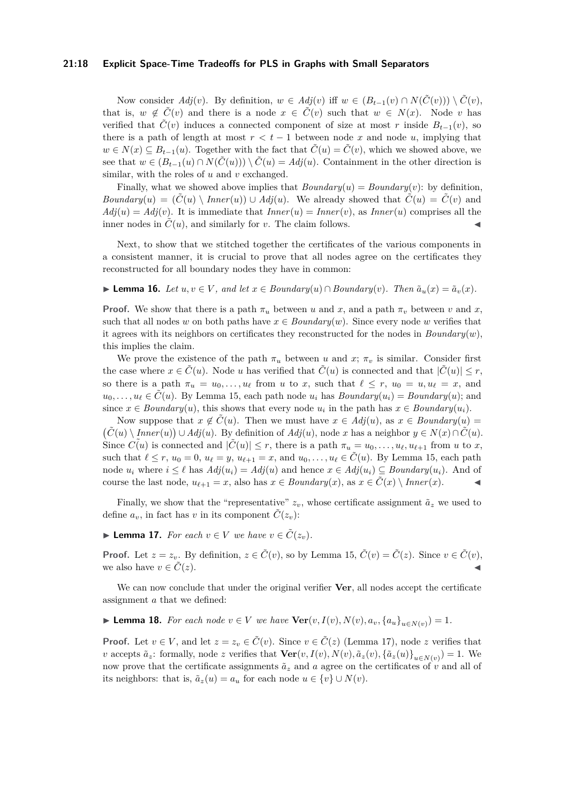### **21:18 Explicit Space-Time Tradeoffs for PLS in Graphs with Small Separators**

Now consider  $Adj(v)$ . By definition,  $w \in Adj(v)$  iff  $w \in (B_{t-1}(v) \cap N(\tilde{C}(v))) \setminus \tilde{C}(v)$ , that is,  $w \notin \tilde{C}(v)$  and there is a node  $x \in \tilde{C}(v)$  such that  $w \in N(x)$ . Node *v* has verified that  $\tilde{C}(v)$  induces a connected component of size at most *r* inside  $B_{t-1}(v)$ , so there is a path of length at most  $r < t - 1$  between node x and node u, implying that *w* ∈ *N*(*x*) ⊆ *B*<sub>*t*−1</sub>(*u*). Together with the fact that  $\ddot{C}(u) = \dot{C}(v)$ , which we showed above, we see that  $w \in (B_{t-1}(u) \cap N(\tilde{C}(u))) \setminus \tilde{C}(u) = Adj(u)$ . Containment in the other direction is similar, with the roles of *u* and *v* exchanged.

Finally, what we showed above implies that  $Boundary(u) = Boundary(v)$ : by definition, *Boundary*(*u*) =  $(\tilde{C}(u) \setminus Inner(u)) \cup Adj(u)$ . We already showed that  $\tilde{C}(u) = \tilde{C}(v)$  and  $Adj(u) = Adj(v)$ . It is immediate that  $Inner(u) = Inner(v)$ , as  $Inner(u)$  comprises all the inner nodes in  $\tilde{C}(u)$ , and similarly for *v*. The claim follows.

Next, to show that we stitched together the certificates of the various components in a consistent manner, it is crucial to prove that all nodes agree on the certificates they reconstructed for all boundary nodes they have in common:

<span id="page-17-1"></span>▶ **Lemma 16.** *Let*  $u, v \in V$ *, and let*  $x \in Boundary(u) \cap Boundary(v)$ *. Then*  $\tilde{a}_u(x) = \tilde{a}_v(x)$ *.* 

**Proof.** We show that there is a path  $\pi_u$  between *u* and *x*, and a path  $\pi_v$  between *v* and *x*, such that all nodes *w* on both paths have  $x \in Boundary(w)$ . Since every node *w* verifies that it agrees with its neighbors on certificates they reconstructed for the nodes in *Boundary*(*w*), this implies the claim.

We prove the existence of the path  $\pi_u$  between *u* and *x*;  $\pi_v$  is similar. Consider first the case where  $x \in \tilde{C}(u)$ . Node *u* has verified that  $\tilde{C}(u)$  is connected and that  $|\tilde{C}(u)| \leq r$ , so there is a path  $\pi_u = u_0, \ldots, u_\ell$  from *u* to *x*, such that  $\ell \leq r$ ,  $u_0 = u, u_\ell = x$ , and  $u_0, \ldots, u_\ell \in C(u)$ . By Lemma [15,](#page-16-15) each path node  $u_i$  has *Boundary* $(u_i) = Boundary(u)$ ; and since  $x \in Boundary(u)$ , this shows that every node  $u_i$  in the path has  $x \in Boundary(u_i)$ .

Now suppose that  $x \notin C(u)$ . Then we must have  $x \in Adj(u)$ , as  $x \in Boundary(u)$ *C*<sup>*(u*)</sup>  $\setminus$  *Inner*(*u*)) ∪ *Adj*(*u*). By definition of *Adj*(*u*), node *x* has a neighbor *y* ∈ *N*(*x*)∩  $\tilde{C}(u)$ . Since  $C(u)$  is connected and  $|\tilde{C}(u)| \leq r$ , there is a path  $\pi_u = u_0, \ldots, u_\ell, u_{\ell+1}$  from *u* to *x*, such that  $\ell \leq r$ ,  $u_0 = 0$ ,  $u_{\ell} = y$ ,  $u_{\ell+1} = x$ , and  $u_0, \ldots, u_{\ell} \in \tilde{C}(u)$ . By Lemma [15,](#page-16-15) each path node  $u_i$  where  $i \leq \ell$  has  $Adj(u_i) = Adj(u)$  and hence  $x \in Adj(u_i) \subseteq Boundary(u_i)$ . And of course the last node,  $u_{\ell+1} = x$ , also has  $x \in Boundary(x)$ , as  $x \in C(x) \setminus Inner(x)$ .

Finally, we show that the "representative"  $z_v$ , whose certificate assignment  $\tilde{a}_z$  we used to define  $a_v$ , in fact has *v* in its component  $\tilde{C}(z_v)$ :

<span id="page-17-0"></span>▶ **Lemma 17.** *For each*  $v \in V$  *we have*  $v \in \tilde{C}(z_v)$ *.* 

**Proof.** Let  $z = z_v$ . By definition,  $z \in \tilde{C}(v)$ , so by Lemma [15,](#page-16-15)  $\tilde{C}(v) = \tilde{C}(z)$ . Since  $v \in \tilde{C}(v)$ , we also have  $v \in C(z)$ .

We can now conclude that under the original verifier **Ver**, all nodes accept the certificate assignment *a* that we defined:

▶ **Lemma 18.** For each node  $v \in V$  we have  $\text{Ver}(v, I(v), N(v), a_v, \{a_u\}_{u \in N(v)}) = 1$ .

**Proof.** Let  $v \in V$ , and let  $z = z_v \in \tilde{C}(v)$ . Since  $v \in \tilde{C}(z)$  (Lemma [17\)](#page-17-0), node *z* verifies that v accepts  $\tilde{a}_z$ : formally, node z verifies that  $\textbf{Ver}(v, I(v), N(v), \tilde{a}_z(v), {\{\tilde{a}_z(u)\}}_{u \in N(v)}) = 1$ . We now prove that the certificate assignments  $\tilde{a}_z$  and *a* agree on the certificates of *v* and all of its neighbors: that is,  $\tilde{a}_z(u) = a_u$  for each node  $u \in \{v\} \cup N(v)$ .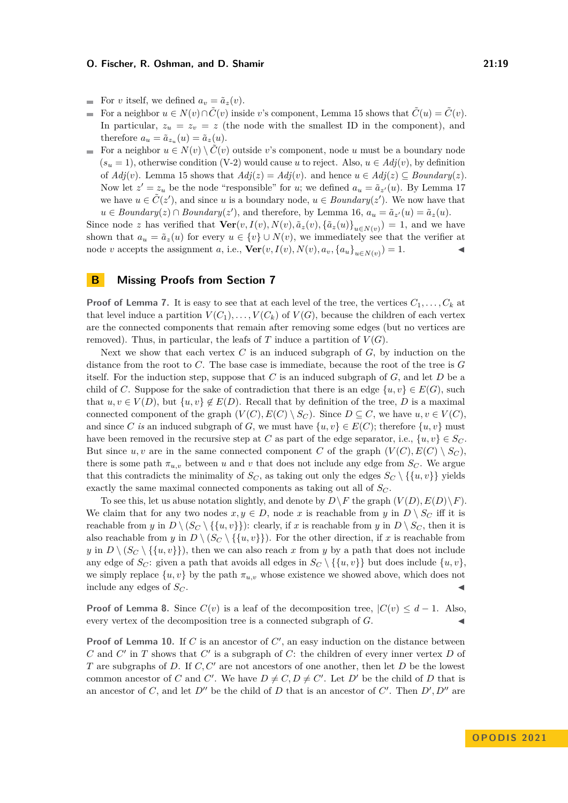- For *v* itself, we defined  $a_v = \tilde{a}_z(v)$ . ÷.
- For a neighbor  $u \in N(v) \cap \tilde{C}(v)$  inside *v*'s component, Lemma [15](#page-16-15) shows that  $\tilde{C}(u) = \tilde{C}(v)$ .  $\overline{a}$ In particular,  $z_u = z_v = z$  (the node with the smallest ID in the component), and therefore  $a_u = \tilde{a}_{z_u}(u) = \tilde{a}_z(u)$ .
- For a neighbor  $u \in N(v) \setminus \tilde{C}(v)$  outside *v*'s component, node *u* must be a boundary node  $(s_u = 1)$ , otherwise condition (V-2) would cause *u* to reject. Also,  $u \in Adj(v)$ , by definition of  $Adj(v)$ . Lemma [15](#page-16-15) shows that  $Adj(z) = Adj(v)$ . and hence  $u \in Adj(z) \subseteq Boundary(z)$ . Now let  $z' = z_u$  be the node "responsible" for *u*; we defined  $a_u = \tilde{a}_{z'}(u)$ . By Lemma [17](#page-17-0) we have  $u \in \tilde{C}(z')$ , and since *u* is a boundary node,  $u \in Boundary(z')$ . We now have that *u* ∈ *Boundary*(*z*) ∩ *Boundary*(*z*<sup>'</sup>), and therefore, by Lemma [16,](#page-17-1)  $a_u = \tilde{a}_{z'}(u) = \tilde{a}_z(u)$ .

Since node *z* has verified that  $\textbf{Ver}(v, I(v), N(v), \tilde{a}_z(v), {\{\tilde{a}_z(u)\}}_{u \in N(v)}) = 1$ , and we have shown that  $a_u = \tilde{a}_z(u)$  for every  $u \in \{v\} \cup N(v)$ , we immediately see that the verifier at node *v* accepts the assignment *a*, i.e.,  $\text{Ver}(v, I(v), N(v), a_v, \{a_u\}_{u \in N(v)}) = 1.$ 

### <span id="page-18-0"></span>**B Missing Proofs from Section [7](#page-11-0)**

**Proof of Lemma [7.](#page-12-1)** It is easy to see that at each level of the tree, the vertices  $C_1, \ldots, C_k$  at that level induce a partition  $V(C_1), \ldots, V(C_k)$  of  $V(G)$ , because the children of each vertex are the connected components that remain after removing some edges (but no vertices are removed). Thus, in particular, the leafs of  $T$  induce a partition of  $V(G)$ .

Next we show that each vertex *C* is an induced subgraph of *G*, by induction on the distance from the root to *C*. The base case is immediate, because the root of the tree is *G* itself. For the induction step, suppose that *C* is an induced subgraph of *G*, and let *D* be a child of *C*. Suppose for the sake of contradiction that there is an edge  $\{u, v\} \in E(G)$ , such that  $u, v \in V(D)$ , but  $\{u, v\} \notin E(D)$ . Recall that by definition of the tree, *D* is a maximal connected component of the graph  $(V(C), E(C) \setminus S_C)$ . Since  $D \subseteq C$ , we have  $u, v \in V(C)$ . and since *C* is an induced subgraph of *G*, we must have  $\{u, v\} \in E(C)$ ; therefore  $\{u, v\}$  must have been removed in the recursive step at *C* as part of the edge separator, i.e.,  $\{u, v\} \in S_C$ . But since *u, v* are in the same connected component *C* of the graph  $(V(C), E(C) \setminus S_C)$ , there is some path  $\pi_{u,v}$  between *u* and *v* that does not include any edge from  $S_C$ . We argue that this contradicts the minimality of  $S_C$ , as taking out only the edges  $S_C \setminus \{ \{u, v\} \}$  yields exactly the same maximal connected components as taking out all of *S<sup>C</sup>* .

To see this, let us abuse notation slightly, and denote by  $D \backslash F$  the graph  $(V(D), E(D) \backslash F)$ . We claim that for any two nodes  $x, y \in D$ , node *x* is reachable from *y* in  $D \setminus S_C$  iff it is reachable from *y* in  $D \setminus (S_C \setminus \{\{u, v\}\})$ : clearly, if *x* is reachable from *y* in  $D \setminus S_C$ , then it is also reachable from *y* in  $D \setminus (S_C \setminus \{\{u, v\}\})$ . For the other direction, if *x* is reachable from *y* in  $D \setminus (S_C \setminus \{\{u, v\}\})$ , then we can also reach *x* from *y* by a path that does not include any edge of  $S_C$ : given a path that avoids all edges in  $S_C \setminus \{\{u, v\}\}\$  but does include  $\{u, v\}$ , we simply replace  $\{u, v\}$  by the path  $\pi_{u, v}$  whose existence we showed above, which does not include any edges of  $S_C$ .

**Proof of Lemma [8.](#page-12-2)** Since  $C(v)$  is a leaf of the decomposition tree,  $|C(v)| \leq d - 1$ . Also, every vertex of the decomposition tree is a connected subgraph of  $G$ .

**Proof of Lemma [10.](#page-12-3)** If *C* is an ancestor of *C'*, an easy induction on the distance between *C* and *C* ′ in *T* shows that *C* ′ is a subgraph of *C*: the children of every inner vertex *D* of *T* are subgraphs of *D*. If *C, C*′ are not ancestors of one another, then let *D* be the lowest common ancestor of *C* and *C'*. We have  $D \neq C, D \neq C'$ . Let *D'* be the child of *D* that is an ancestor of *C*, and let  $D''$  be the child of *D* that is an ancestor of *C'*. Then  $D', D''$  are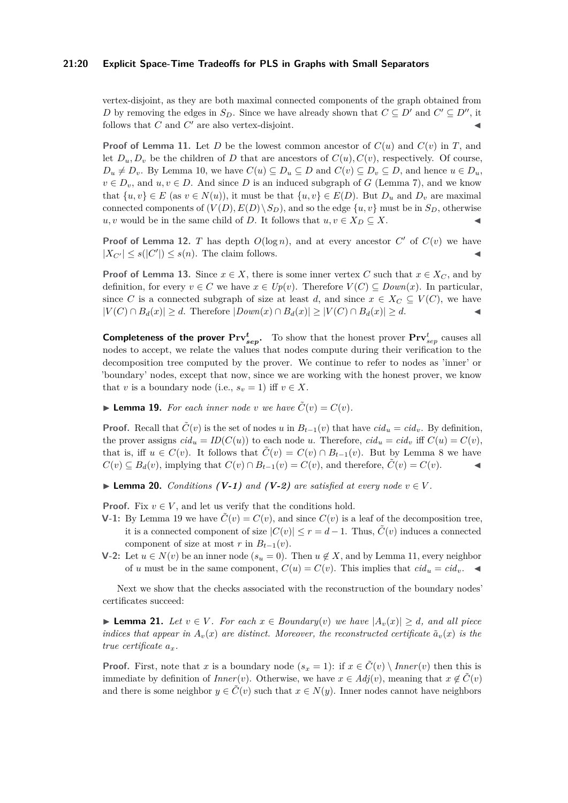### **21:20 Explicit Space-Time Tradeoffs for PLS in Graphs with Small Separators**

vertex-disjoint, as they are both maximal connected components of the graph obtained from *D* by removing the edges in  $S_D$ . Since we have already shown that  $C \subseteq D'$  and  $C' \subseteq D''$ , it follows that  $C$  and  $C'$  are also vertex-disjoint.

**Proof of Lemma** [11.](#page-12-4) Let *D* be the lowest common ancestor of  $C(u)$  and  $C(v)$  in *T*, and let  $D_u, D_v$  be the children of *D* that are ancestors of  $C(u), C(v)$ , respectively. Of course,  $D_u \neq D_v$ . By Lemma [10,](#page-12-3) we have  $C(u) \subseteq D_u \subseteq D$  and  $C(v) \subseteq D_v \subseteq D$ , and hence  $u \in D_u$ ,  $v \in D_v$ , and  $u, v \in D$ . And since *D* is an induced subgraph of *G* (Lemma [7\)](#page-12-1), and we know that  $\{u, v\} \in E$  (as  $v \in N(u)$ ), it must be that  $\{u, v\} \in E(D)$ . But  $D_u$  and  $D_v$  are maximal connected components of  $(V(D), E(D) \setminus S_D)$ , and so the edge  $\{u, v\}$  must be in  $S_D$ , otherwise *u, v* would be in the same child of *D*. It follows that  $u, v \in X_D \subseteq X$ .

**Proof of Lemma [12.](#page-12-5)** *T* has depth  $O(\log n)$ , and at every ancestor  $C'$  of  $C(v)$  we have  $|X_{C'}| \le s(|C'|) \le s(n)$ . The claim follows.

**Proof of Lemma [13.](#page-12-0)** Since  $x \in X$ , there is some inner vertex *C* such that  $x \in X_C$ , and by definition, for every  $v \in C$  we have  $x \in Up(v)$ . Therefore  $V(C) \subseteq Down(x)$ . In particular, since *C* is a connected subgraph of size at least *d*, and since  $x \in X_C \subseteq V(C)$ , we have  $|V(C) \cap B_d(x)| \ge d$ . Therefore  $|Down(x) \cap B_d(x)| \ge |V(C) \cap B_d(x)| \ge d$ .

**Completeness of the prover**  $\Pr{v_{sep}^t}$ **.** To show that the honest prover  $\Pr{v_{sep}^t}$  causes all nodes to accept, we relate the values that nodes compute during their verification to the decomposition tree computed by the prover. We continue to refer to nodes as 'inner' or 'boundary' nodes, except that now, since we are working with the honest prover, we know that *v* is a boundary node (i.e.,  $s_v = 1$ ) iff  $v \in X$ .

<span id="page-19-0"></span> $\blacktriangleright$  **Lemma 19.** For each inner node *v* we have  $\tilde{C}(v) = C(v)$ .

**Proof.** Recall that  $\tilde{C}(v)$  is the set of nodes *u* in  $B_{t-1}(v)$  that have  $cid_u = cid_v$ . By definition, the prover assigns  $cid_u = ID(C(u))$  to each node *u*. Therefore,  $cid_u = cid_v$  iff  $C(u) = C(v)$ , that is, iff  $u \in C(v)$ . It follows that  $\tilde{C}(v) = C(v) \cap B_{t-1}(v)$ . But by Lemma [8](#page-12-2) we have  $C(v) \subseteq B_d(v)$ , implying that  $C(v) \cap B_{t-1}(v) = C(v)$ , and therefore,  $\tilde{C}(v) = C(v)$ .

<span id="page-19-1"></span>▶ **Lemma 20.** *Conditions*  $(V-1)$  *and*  $(V-2)$  *are satisfied at every node*  $v ∈ V$ *.* 

**Proof.** Fix  $v \in V$ , and let us verify that the conditions hold.

- **V-1:** By Lemma [19](#page-19-0) we have  $\tilde{C}(v) = C(v)$ , and since  $C(v)$  is a leaf of the decomposition tree, it is a connected component of size  $|C(v)| \leq r = d - 1$ . Thus,  $\tilde{C}(v)$  induces a connected component of size at most  $r$  in  $B_{t-1}(v)$ .
- **V**-2: Let *u* ∈ *N*(*v*) be an inner node ( $s_u$  = 0). Then *u* ∉ *X*, and by Lemma [11,](#page-12-4) every neighbor of *u* must be in the same component,  $C(u) = C(v)$ . This implies that  $cid_u = cid_v$ .

Next we show that the checks associated with the reconstruction of the boundary nodes' certificates succeed:

<span id="page-19-2"></span>▶ **Lemma 21.** *Let*  $v \in V$ *. For each*  $x \in Boundary(v)$  *we have*  $|A_v(x)| \ge d$ *, and all piece indices that appear in*  $A_v(x)$  *are distinct. Moreover, the reconstructed certificate*  $\tilde{a}_v(x)$  *is the true certificate ax.*

**Proof.** First, note that *x* is a boundary node  $(s_x = 1)$ : if  $x \in C(v) \setminus Inner(v)$  then this is immediate by definition of *Inner*(*v*). Otherwise, we have  $x \in Adj(v)$ , meaning that  $x \notin C(v)$ and there is some neighbor  $y \in \tilde{C}(v)$  such that  $x \in N(y)$ . Inner nodes cannot have neighbors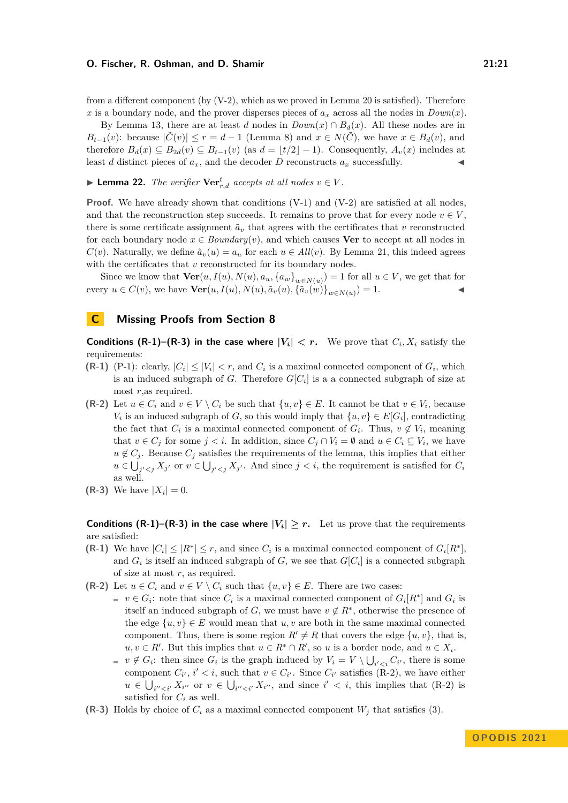from a different component (by  $(V-2)$ , which as we proved in Lemma [20](#page-19-1) is satisfied). Therefore *x* is a boundary node, and the prover disperses pieces of  $a_x$  across all the nodes in  $Down(x)$ .

By Lemma [13,](#page-12-0) there are at least *d* nodes in  $Down(x) \cap B_d(x)$ . All these nodes are in *B*<sub>t−1</sub>(*v*): because  $|\tilde{C}(v)| \leq r = d - 1$  (Lemma [8\)](#page-12-2) and  $x \in N(\tilde{C})$ , we have  $x \in B_d(v)$ , and therefore  $B_d(x) \subseteq B_{2d}(v) \subseteq B_{t-1}(v)$  (as  $d = \lfloor t/2 \rfloor - 1$ ). Consequently,  $A_v(x)$  includes at least *d* distinct pieces of  $a_x$ , and the decoder *D* reconstructs  $a_x$  successfully.

▶ **Lemma 22.** *The verifier*  $\mathbf{Ver}^t_{r,d}$  *accepts at all nodes*  $v \in V$ *.* 

**Proof.** We have already shown that conditions (V-1) and (V-2) are satisfied at all nodes, and that the reconstruction step succeeds. It remains to prove that for every node  $v \in V$ . there is some certificate assignment  $\tilde{a}_v$  that agrees with the certificates that *v* reconstructed for each boundary node  $x \in Boundary(v)$ , and which causes **Ver** to accept at all nodes in *C*(*v*). Naturally, we define  $\tilde{a}_v(u) = a_u$  for each  $u \in All(v)$ . By Lemma [21,](#page-19-2) this indeed agrees with the certificates that *v* reconstructed for its boundary nodes.

Since we know that  $\text{Ver}(u, I(u), N(u), a_u, \{a_w\}_{w \in N(u)}) = 1$  for all  $u \in V$ , we get that for every  $u \in C(v)$ , we have  $\text{Ver}(u, I(u), N(u), \tilde{a}_v(u), {\{\tilde{a}_v(w)\}}_{w \in N(u)}) = 1.$ 

### <span id="page-20-0"></span>**C Missing Proofs from Section [8](#page-13-0)**

**Conditions (R-1)–(R-3) in the case where**  $|V_i| < r$ **.** We prove that  $C_i, X_i$  satisfy the requirements:

- **(R-1)** (P-1): clearly,  $|C_i| \leq |V_i| < r$ , and  $C_i$  is a maximal connected component of  $G_i$ , which is an induced subgraph of *G*. Therefore  $G[C_i]$  is a a connected subgraph of size at most *r*,as required.
- **(R-2)** Let  $u \in C_i$  and  $v \in V \setminus C_i$  be such that  $\{u, v\} \in E$ . It cannot be that  $v \in V_i$ , because *V*<sup>*i*</sup> is an induced subgraph of *G*, so this would imply that  $\{u, v\} \in E[G_i]$ , contradicting the fact that  $C_i$  is a maximal connected component of  $G_i$ . Thus,  $v \notin V_i$ , meaning that  $v \in C_j$  for some  $j < i$ . In addition, since  $C_j \cap V_i = \emptyset$  and  $u \in C_i \subseteq V_i$ , we have  $u \notin C_i$ . Because  $C_i$  satisfies the requirements of the lemma, this implies that either  $u \in \bigcup_{j' < j} X_{j'}$  or  $v \in \bigcup_{j' < j} X_{j'}$ . And since  $j < i$ , the requirement is satisfied for  $C_i$ as well.
- **(R-3)** We have  $|X_i| = 0$ .

**Conditions (R-1)–(R-3) in the case where**  $|V_i| \geq r$ . Let us prove that the requirements are satisfied:

- **(R-1)** We have  $|C_i| \leq |R^*| \leq r$ , and since  $C_i$  is a maximal connected component of  $G_i[R^*]$ , and  $G_i$  is itself an induced subgraph of  $G$ , we see that  $G[C_i]$  is a connected subgraph of size at most *r*, as required.
- **(R-2)** Let  $u \in C_i$  and  $v \in V \setminus C_i$  such that  $\{u, v\} \in E$ . There are two cases:
	- $v \in G_i$ : note that since  $C_i$  is a maximal connected component of  $G_i[R^*]$  and  $G_i$  is itself an induced subgraph of *G*, we must have  $v \notin R^*$ , otherwise the presence of the edge  $\{u, v\} \in E$  would mean that  $u, v$  are both in the same maximal connected component. Thus, there is some region  $R' \neq R$  that covers the edge  $\{u, v\}$ , that is,  $u, v \in R'$ . But this implies that  $u \in R^* \cap R'$ , so *u* is a border node, and  $u \in X_i$ .
		- $v \notin G_i$ : then since  $G_i$  is the graph induced by  $V_i = V \setminus \bigcup_{i' < i} C_{i'}$ , there is some component  $C_{i'}$ ,  $i' < i$ , such that  $v \in C_{i'}$ . Since  $C_{i'}$  satisfies (R-2), we have either  $u \in \bigcup_{i'' < i'} X_{i''}$  or  $v \in \bigcup_{i'' < i'} X_{i''}$ , and since  $i' < i$ , this implies that (R-2) is satisfied for  $C_i$  as well.
- **(R-3)** Holds by choice of  $C_i$  as a maximal connected component  $W_i$  that satisfies [\(3\)](#page-14-1).